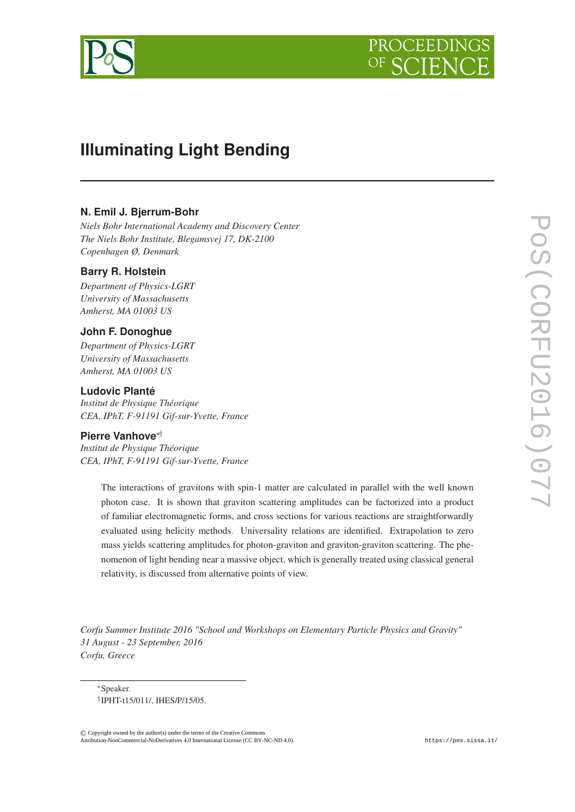



# **Illuminating Light Bending**

# **N. Emil J. Bjerrum-Bohr**

*Niels Bohr International Academy and Discovery Center The Niels Bohr Institute, Blegamsvej 17, DK-2100 Copenhagen Ø, Denmark*

# **Barry R. Holstein**

*Department of Physics-LGRT University of Massachusetts Amherst, MA 01003 US*

# **John F. Donoghue**

*Department of Physics-LGRT University of Massachusetts Amherst, MA 01003 US*

## **Ludovic Planté**

*Institut de Physique Théorique CEA, IPhT, F-91191 Gif-sur-Yvette, France*

#### **Pierre Vanhove**∗†

*Institut de Physique Théorique CEA, IPhT, F-91191 Gif-sur-Yvette, France*

> The interactions of gravitons with spin-1 matter are calculated in parallel with the well known photon case. It is shown that graviton scattering amplitudes can be factorized into a product of familiar electromagnetic forms, and cross sections for various reactions are straightforwardly evaluated using helicity methods. Universality relations are identified. Extrapolation to zero mass yields scattering amplitudes for photon-graviton and graviton-graviton scattering. The phenomenon of light bending near a massive object, which is generally treated using classical general relativity, is discussed from alternative points of view.

*Corfu Summer Institute 2016 "School and Workshops on Elementary Particle Physics and Gravity" 31 August - 23 September, 2016 Corfu, Greece*

© c Copyright owned by the author(s) under the terms of the Creative Commons Copyright owned by the author(s) under the terms of the Creative Commons Attribution-NonCommercial-ShareAlike Licence. http://pos.sissa.it/ Attribution-NonCommercial-NoDerivatives 4.0 International License (CC BY-NC-ND 4.0).

<sup>∗</sup>Speaker. † IPHT-t15/011/, IHES/P/15/05.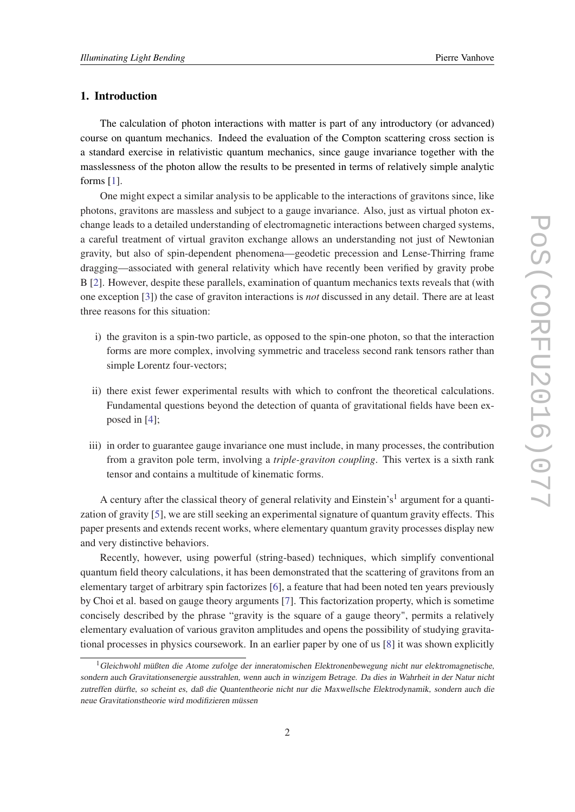## 1. Introduction

The calculation of photon interactions with matter is part of any introductory (or advanced) course on quantum mechanics. Indeed the evaluation of the Compton scattering cross section is a standard exercise in relativistic quantum mechanics, since gauge invariance together with the masslessness of the photon allow the results to be presented in terms of relatively simple analytic forms [\[1\]](#page-32-0).

One might expect a similar analysis to be applicable to the interactions of gravitons since, like photons, gravitons are massless and subject to a gauge invariance. Also, just as virtual photon exchange leads to a detailed understanding of electromagnetic interactions between charged systems, a careful treatment of virtual graviton exchange allows an understanding not just of Newtonian gravity, but also of spin-dependent phenomena—geodetic precession and Lense-Thirring frame dragging—associated with general relativity which have recently been verified by gravity probe B [[2](#page-32-0)]. However, despite these parallels, examination of quantum mechanics texts reveals that (with one exception [\[3\]](#page-32-0)) the case of graviton interactions is *not* discussed in any detail. There are at least three reasons for this situation:

- i) the graviton is a spin-two particle, as opposed to the spin-one photon, so that the interaction forms are more complex, involving symmetric and traceless second rank tensors rather than simple Lorentz four-vectors;
- ii) there exist fewer experimental results with which to confront the theoretical calculations. Fundamental questions beyond the detection of quanta of gravitational fields have been exposed in [\[4\]](#page-33-0);
- iii) in order to guarantee gauge invariance one must include, in many processes, the contribution from a graviton pole term, involving a *triple-graviton coupling*. This vertex is a sixth rank tensor and contains a multitude of kinematic forms.

A century after the classical theory of general relativity and Einstein's<sup>1</sup> argument for a quantization of gravity [\[5\]](#page-33-0), we are still seeking an experimental signature of quantum gravity effects. This paper presents and extends recent works, where elementary quantum gravity processes display new and very distinctive behaviors.

Recently, however, using powerful (string-based) techniques, which simplify conventional quantum field theory calculations, it has been demonstrated that the scattering of gravitons from an elementary target of arbitrary spin factorizes [[6](#page-33-0)], a feature that had been noted ten years previously by Choi et al. based on gauge theory arguments [[7](#page-33-0)]. This factorization property, which is sometime concisely described by the phrase "gravity is the square of a gauge theory", permits a relatively elementary evaluation of various graviton amplitudes and opens the possibility of studying gravitational processes in physics coursework. In an earlier paper by one of us [\[8\]](#page-33-0) it was shown explicitly

 $1$ Gleichwohl müßten die Atome zufolge der inneratomischen Elektronenbewegung nicht nur elektromagnetische, sondern auch Gravitationsenergie ausstrahlen, wenn auch in winzigem Betrage. Da dies in Wahrheit in der Natur nicht zutreffen dürfte, so scheint es, daß die Quantentheorie nicht nur die Maxwellsche Elektrodynamik, sondern auch die neue Gravitationstheorie wird modifizieren müssen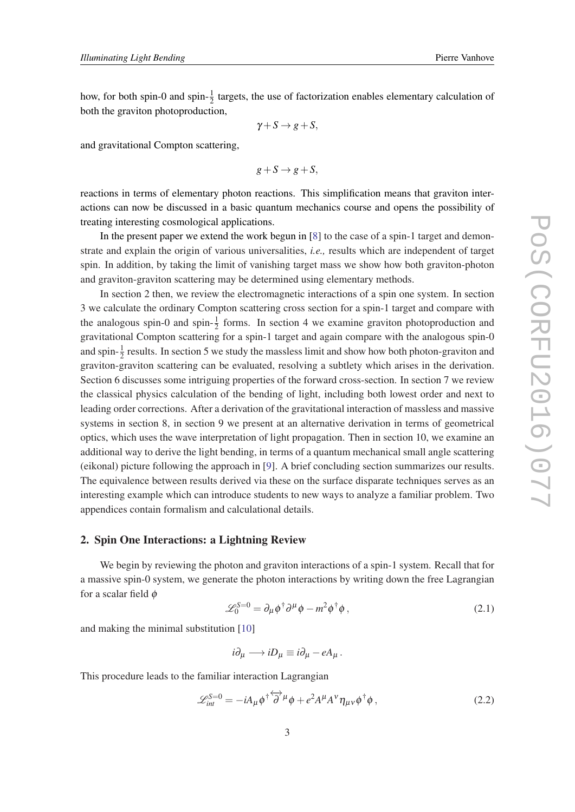how, for both spin-0 and spin- $\frac{1}{2}$  targets, the use of factorization enables elementary calculation of both the graviton photoproduction,

$$
\gamma + S \to g + S,
$$

and gravitational Compton scattering,

$$
g + S \rightarrow g + S,
$$

reactions in terms of elementary photon reactions. This simplification means that graviton interactions can now be discussed in a basic quantum mechanics course and opens the possibility of treating interesting cosmological applications.

In the present paper we extend the work begun in [[8](#page-33-0)] to the case of a spin-1 target and demonstrate and explain the origin of various universalities, *i.e.,* results which are independent of target spin. In addition, by taking the limit of vanishing target mass we show how both graviton-photon and graviton-graviton scattering may be determined using elementary methods.

In section 2 then, we review the electromagnetic interactions of a spin one system. In section 3 we calculate the ordinary Compton scattering cross section for a spin-1 target and compare with the analogous spin-0 and spin- $\frac{1}{2}$  forms. In section 4 we examine graviton photoproduction and gravitational Compton scattering for a spin-1 target and again compare with the analogous spin-0 and spin- $\frac{1}{2}$  results. In section 5 we study the massless limit and show how both photon-graviton and graviton-graviton scattering can be evaluated, resolving a subtlety which arises in the derivation. Section 6 discusses some intriguing properties of the forward cross-section. In section 7 we review the classical physics calculation of the bending of light, including both lowest order and next to leading order corrections. After a derivation of the gravitational interaction of massless and massive systems in section 8, in section 9 we present at an alternative derivation in terms of geometrical optics, which uses the wave interpretation of light propagation. Then in section 10, we examine an additional way to derive the light bending, in terms of a quantum mechanical small angle scattering (eikonal) picture following the approach in [[9](#page-33-0)]. A brief concluding section summarizes our results. The equivalence between results derived via these on the surface disparate techniques serves as an interesting example which can introduce students to new ways to analyze a familiar problem. Two appendices contain formalism and calculational details.

#### 2. Spin One Interactions: a Lightning Review

We begin by reviewing the photon and graviton interactions of a spin-1 system. Recall that for a massive spin-0 system, we generate the photon interactions by writing down the free Lagrangian for a scalar field  $\phi$ 

$$
\mathcal{L}_0^{S=0} = \partial_\mu \phi^\dagger \partial^\mu \phi - m^2 \phi^\dagger \phi \,, \tag{2.1}
$$

and making the minimal substitution [[10\]](#page-33-0)

$$
i\partial_\mu \longrightarrow iD_\mu \equiv i\partial_\mu - eA_\mu \,.
$$

This procedure leads to the familiar interaction Lagrangian

$$
\mathcal{L}_{int}^{S=0} = -iA_{\mu}\phi^{\dagger}\overleftrightarrow{\partial}^{\mu}\phi + e^{2}A^{\mu}A^{\nu}\eta_{\mu\nu}\phi^{\dagger}\phi, \qquad (2.2)
$$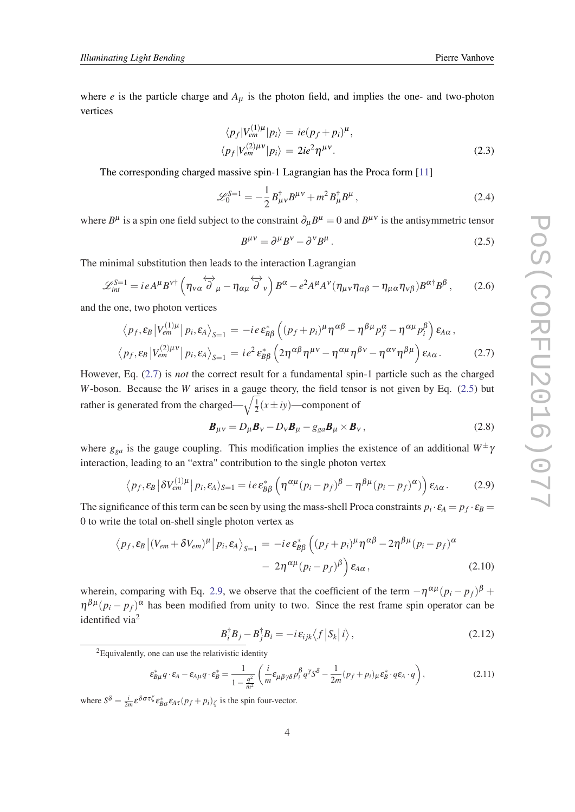where *e* is the particle charge and  $A_{\mu}$  is the photon field, and implies the one- and two-photon vertices

$$
\langle p_f | V_{em}^{(1)\mu} | p_i \rangle = ie(p_f + p_i)^{\mu},
$$
  

$$
\langle p_f | V_{em}^{(2)\mu\nu} | p_i \rangle = 2ie^2 \eta^{\mu\nu}.
$$
 (2.3)

The corresponding charged massive spin-1 Lagrangian has the Proca form [[11\]](#page-33-0)

$$
\mathcal{L}_0^{S=1} = -\frac{1}{2} B^{\dagger}_{\mu\nu} B^{\mu\nu} + m^2 B^{\dagger}_{\mu} B^{\mu} \,, \tag{2.4}
$$

where  $B^{\mu}$  is a spin one field subject to the constraint  $\partial_{\mu}B^{\mu} = 0$  and  $B^{\mu\nu}$  is the antisymmetric tensor

$$
B^{\mu\nu} = \partial^{\mu} B^{\nu} - \partial^{\nu} B^{\mu} \,. \tag{2.5}
$$

The minimal substitution then leads to the interaction Lagrangian

$$
\mathscr{L}_{int}^{S=1} = ieA^{\mu}B^{\nu\dagger} \left( \eta_{\nu\alpha} \overleftrightarrow{\partial}_{\mu} - \eta_{\alpha\mu} \overleftrightarrow{\partial}_{\nu} \right) B^{\alpha} - e^{2}A^{\mu}A^{\nu} (\eta_{\mu\nu} \eta_{\alpha\beta} - \eta_{\mu\alpha} \eta_{\nu\beta}) B^{\alpha\dagger} B^{\beta} ,\qquad(2.6)
$$

and the one, two photon vertices

$$
\langle p_f, \varepsilon_B | V_{em}^{(1)\mu} | p_i, \varepsilon_A \rangle_{S=1} = -ie \varepsilon_{BB}^* \left( (p_f + p_i)^{\mu} \eta^{\alpha \beta} - \eta^{\beta \mu} p_f^{\alpha} - \eta^{\alpha \mu} p_i^{\beta} \right) \varepsilon_{A\alpha},
$$
  

$$
\langle p_f, \varepsilon_B | V_{em}^{(2)\mu\nu} | p_i, \varepsilon_A \rangle_{S=1} = ie^2 \varepsilon_{BB}^* \left( 2\eta^{\alpha \beta} \eta^{\mu\nu} - \eta^{\alpha \mu} \eta^{\beta \nu} - \eta^{\alpha \nu} \eta^{\beta \mu} \right) \varepsilon_{A\alpha}.
$$
 (2.7)

However, Eq. (2.7) is *not* the correct result for a fundamental spin-1 particle such as the charged *W*-boson. Because the *W* arises in a gauge theory, the field tensor is not given by Eq. (2.5) but rather is generated from the charged— $\sqrt{\frac{1}{2}}$  $\frac{1}{2}(x \pm iy)$ —component of

$$
\boldsymbol{B}_{\mu\nu} = D_{\mu}\boldsymbol{B}_{\nu} - D_{\nu}\boldsymbol{B}_{\mu} - g_{ga}\boldsymbol{B}_{\mu} \times \boldsymbol{B}_{\nu},
$$
\n(2.8)

where  $g_{ga}$  is the gauge coupling. This modification implies the existence of an additional  $W^{\pm}\gamma$ interaction, leading to an "extra" contribution to the single photon vertex

$$
\langle p_f, \varepsilon_B \left| \delta V_{em}^{(1)\mu} \right| p_i, \varepsilon_A \rangle_{S=1} = ie \, \varepsilon_{B\beta}^* \left( \eta^{\alpha\mu} (p_i - p_f)^{\beta} - \eta^{\beta\mu} (p_i - p_f)^{\alpha} \right) \varepsilon_{A\alpha} \,. \tag{2.9}
$$

The significance of this term can be seen by using the mass-shell Proca constraints  $p_i \cdot \varepsilon_A = p_f \cdot \varepsilon_B =$ 0 to write the total on-shell single photon vertex as

$$
\langle p_f, \varepsilon_B | (V_{em} + \delta V_{em})^{\mu} | p_i, \varepsilon_A \rangle_{S=1} = -ie \varepsilon_{\beta\beta}^* \left( (p_f + p_i)^{\mu} \eta^{\alpha\beta} - 2\eta^{\beta\mu} (p_i - p_f)^{\alpha} - 2\eta^{\alpha\mu} (p_i - p_f)^{\beta} \right) \varepsilon_{A\alpha}, \tag{2.10}
$$

wherein, comparing with Eq. 2.9, we observe that the coefficient of the term  $-\eta^{\alpha\mu}(p_i - p_f)^{\beta}$  +  $\eta^{\beta\mu}(p_i - p_f)^{\alpha}$  has been modified from unity to two. Since the rest frame spin operator can be identified via<sup>2</sup>

$$
B_i^{\dagger} B_j - B_j^{\dagger} B_i = -i \,\varepsilon_{ijk} \langle f | S_k | i \rangle \,, \tag{2.12}
$$

 $2$ Equivalently, one can use the relativistic identity

$$
\varepsilon_{B\mu}^* q \cdot \varepsilon_A - \varepsilon_{A\mu} q \cdot \varepsilon_B^* = \frac{1}{1 - \frac{q^2}{m^2}} \left( \frac{i}{m} \varepsilon_{\mu\beta\gamma\delta} p_i^{\beta} q^{\gamma} S^{\delta} - \frac{1}{2m} (p_f + p_i)_{\mu} \varepsilon_B^* \cdot q \varepsilon_A \cdot q \right),\tag{2.11}
$$

where  $S^{\delta} = \frac{i}{2m} \varepsilon^{\delta \sigma \tau \zeta} \varepsilon_{B \sigma}^* \varepsilon_{A \tau} (p_f + p_i) \zeta$  is the spin four-vector.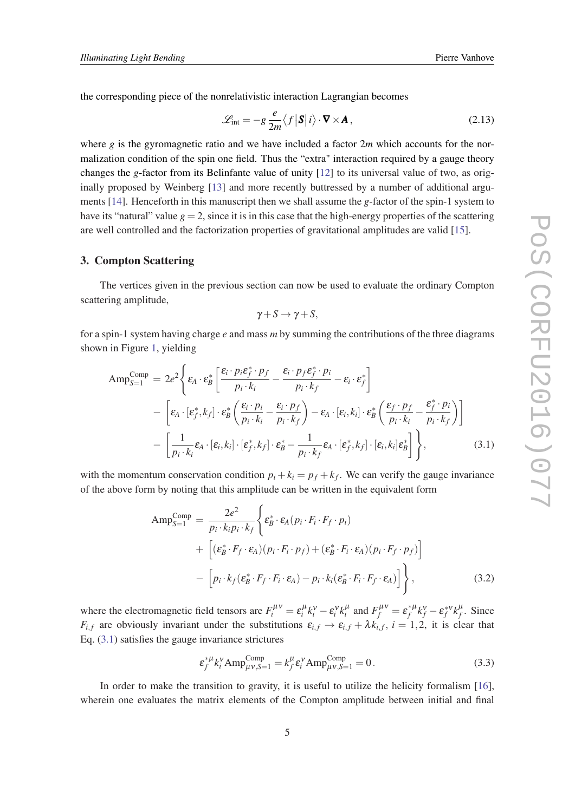<span id="page-4-0"></span>the corresponding piece of the nonrelativistic interaction Lagrangian becomes

$$
\mathcal{L}_{\text{int}} = -g \frac{e}{2m} \langle f | \mathbf{S} | i \rangle \cdot \nabla \times \mathbf{A}, \qquad (2.13)
$$

where  $g$  is the gyromagnetic ratio and we have included a factor  $2m$  which accounts for the normalization condition of the spin one field. Thus the "extra" interaction required by a gauge theory changes the *g*-factor from its Belinfante value of unity [\[12\]](#page-33-0) to its universal value of two, as originally proposed by Weinberg [\[13](#page-33-0)] and more recently buttressed by a number of additional arguments [\[14](#page-33-0)]. Henceforth in this manuscript then we shall assume the *g*-factor of the spin-1 system to have its "natural" value  $g = 2$ , since it is in this case that the high-energy properties of the scattering are well controlled and the factorization properties of gravitational amplitudes are valid [[15](#page-33-0)].

#### 3. Compton Scattering

The vertices given in the previous section can now be used to evaluate the ordinary Compton scattering amplitude,

$$
\gamma + S \to \gamma + S,
$$

for a spin-1 system having charge *e* and mass *m* by summing the contributions of the three diagrams shown in Figure [1](#page-5-0), yielding

$$
Amp_{S=1}^{Comp} = 2e^{2} \left\{ \varepsilon_{A} \cdot \varepsilon_{B}^{*} \left[ \frac{\varepsilon_{i} \cdot p_{i} \varepsilon_{f}^{*} \cdot p_{f}}{p_{i} \cdot k_{i}} - \frac{\varepsilon_{i} \cdot p_{f} \varepsilon_{f}^{*} \cdot p_{i}}{p_{i} \cdot k_{f}} - \varepsilon_{i} \cdot \varepsilon_{f}^{*} \right] - \left[ \varepsilon_{A} \cdot [\varepsilon_{f}^{*}, k_{f}] \cdot \varepsilon_{B}^{*} \left( \frac{\varepsilon_{i} \cdot p_{i}}{p_{i} \cdot k_{i}} - \frac{\varepsilon_{i} \cdot p_{f}}{p_{i} \cdot k_{f}} \right) - \varepsilon_{A} \cdot [\varepsilon_{i}, k_{i}] \cdot \varepsilon_{B}^{*} \left( \frac{\varepsilon_{f} \cdot p_{f}}{p_{i} \cdot k_{i}} - \frac{\varepsilon_{f}^{*} \cdot p_{i}}{p_{i} \cdot k_{f}} \right) \right] - \left[ \frac{1}{p_{i} \cdot k_{i}} \varepsilon_{A} \cdot [\varepsilon_{i}, k_{i}] \cdot [\varepsilon_{f}^{*}, k_{f}] \cdot \varepsilon_{B}^{*} - \frac{1}{p_{i} \cdot k_{f}} \varepsilon_{A} \cdot [\varepsilon_{f}^{*}, k_{f}] \cdot [\varepsilon_{i}, k_{i}] \varepsilon_{B}^{*} \right] \right\},
$$
(3.1)

with the momentum conservation condition  $p_i + k_i = p_f + k_f$ . We can verify the gauge invariance of the above form by noting that this amplitude can be written in the equivalent form

$$
Amp_{S=1}^{Comp} = \frac{2e^2}{p_i \cdot k_i p_i \cdot k_f} \left\{ \varepsilon_B^* \cdot \varepsilon_A (p_i \cdot F_i \cdot F_f \cdot p_i) + \left[ (\varepsilon_B^* \cdot F_f \cdot \varepsilon_A)(p_i \cdot F_i \cdot p_f) + (\varepsilon_B^* \cdot F_i \cdot \varepsilon_A)(p_i \cdot F_f \cdot p_f) \right] - \left[ p_i \cdot k_f (\varepsilon_B^* \cdot F_f \cdot F_i \cdot \varepsilon_A) - p_i \cdot k_i (\varepsilon_B^* \cdot F_i \cdot F_f \cdot \varepsilon_A) \right] \right\},
$$
\n(3.2)

where the electromagnetic field tensors are  $F_i^{\mu\nu} = \varepsilon_i^{\mu} k_i^{\nu} - \varepsilon_i^{\nu} k_i^{\mu}$  and  $F_f^{\mu\nu} = \varepsilon_f^{*\mu} k_f^{\nu} - \varepsilon_f^{*\nu} k_f^{\mu}$  $f^{\mu}$ . Since *F*<sub>*i*</sub>, *f* are obviously invariant under the substitutions  $\varepsilon_{i,f} \rightarrow \varepsilon_{i,f} + \lambda k_{i,f}$ ,  $i = 1,2$ , it is clear that Eq. (3.1) satisfies the gauge invariance strictures

$$
\varepsilon_f^{*\mu} k_i^{\nu} \text{Amp}^{\text{Comp}}_{\mu\nu,S=1} = k_f^{\mu} \varepsilon_i^{\nu} \text{Amp}^{\text{Comp}}_{\mu\nu,S=1} = 0. \tag{3.3}
$$

In order to make the transition to gravity, it is useful to utilize the helicity formalism [[16\]](#page-33-0), wherein one evaluates the matrix elements of the Compton amplitude between initial and final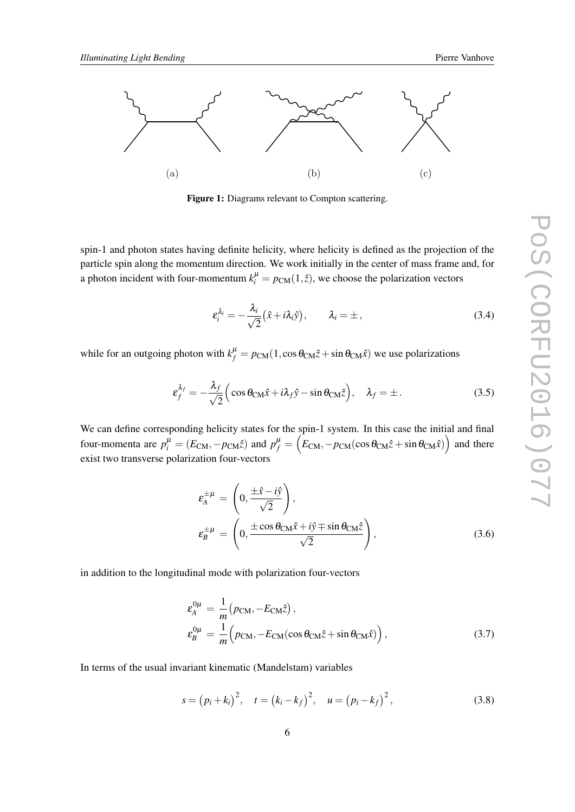<span id="page-5-0"></span>

Figure 1: Diagrams relevant to Compton scattering.

spin-1 and photon states having definite helicity, where helicity is defined as the projection of the particle spin along the momentum direction. We work initially in the center of mass frame and, for a photon incident with four-momentum  $k_i^{\mu} = p_{CM}(1,\hat{z})$ , we choose the polarization vectors

$$
\varepsilon_i^{\lambda_i} = -\frac{\lambda_i}{\sqrt{2}} (\hat{x} + i\lambda_i \hat{y}), \qquad \lambda_i = \pm, \qquad (3.4)
$$

while for an outgoing photon with  $k_f^{\mu} = p_{CM}(1, \cos \theta_{CM} \hat{z} + \sin \theta_{CM} \hat{x})$  we use polarizations

$$
\varepsilon_f^{\lambda_f} = -\frac{\lambda_f}{\sqrt{2}} \Big( \cos \theta_{\text{CM}} \hat{x} + i \lambda_f \hat{y} - \sin \theta_{\text{CM}} \hat{z} \Big), \quad \lambda_f = \pm \,. \tag{3.5}
$$

We can define corresponding helicity states for the spin-1 system. In this case the initial and final four-momenta are  $p_i^{\mu} = (E_{\text{CM}}, -p_{\text{CM}}\hat{z})$  and  $p_f^{\mu} = (E_{\text{CM}}, -p_{\text{CM}}(\cos\theta_{\text{CM}}\hat{z} + \sin\theta_{\text{CM}}\hat{x}))$  and there exist two transverse polarization four-vectors

$$
\varepsilon_A^{\pm \mu} = \left( 0, \frac{\pm \hat{x} - i\hat{y}}{\sqrt{2}} \right), \n\varepsilon_B^{\pm \mu} = \left( 0, \frac{\pm \cos \theta_{\text{CM}} \hat{x} + i\hat{y} \mp \sin \theta_{\text{CM}} \hat{z}}{\sqrt{2}} \right),
$$
\n(3.6)

in addition to the longitudinal mode with polarization four-vectors

$$
\varepsilon_A^{0\mu} = \frac{1}{m} (p_{\text{CM}}, -E_{\text{CM}}\hat{z}),
$$
  
\n
$$
\varepsilon_B^{0\mu} = \frac{1}{m} (p_{\text{CM}}, -E_{\text{CM}}(\cos\theta_{\text{CM}}\hat{z} + \sin\theta_{\text{CM}}\hat{x})),
$$
\n(3.7)

In terms of the usual invariant kinematic (Mandelstam) variables

$$
s = (p_i + k_i)^2, \quad t = (k_i - k_f)^2, \quad u = (p_i - k_f)^2,
$$
 (3.8)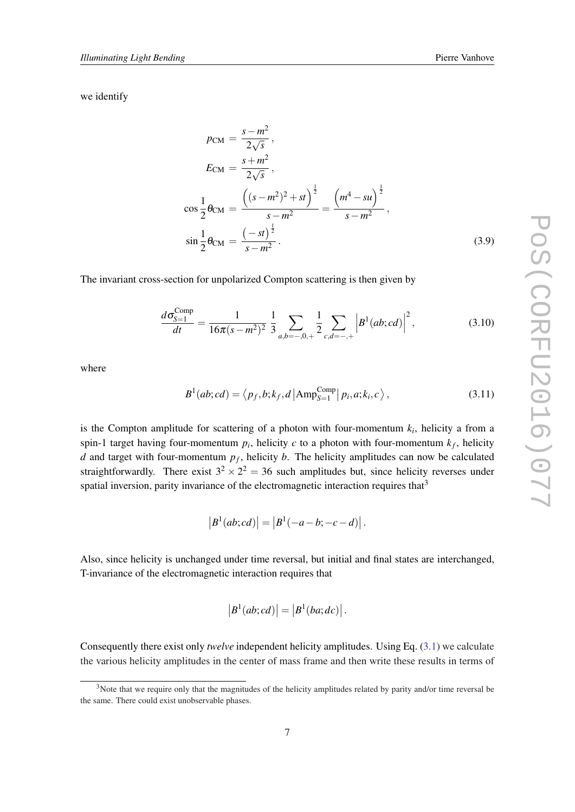<span id="page-6-0"></span>we identify

$$
p_{CM} = \frac{s - m^2}{2\sqrt{s}},
$$
  
\n
$$
E_{CM} = \frac{s + m^2}{2\sqrt{s}},
$$
  
\n
$$
\cos\frac{1}{2}\theta_{CM} = \frac{\left((s - m^2)^2 + st\right)^{\frac{1}{2}}}{s - m^2} = \frac{\left(m^4 - su\right)^{\frac{1}{2}}}{s - m^2},
$$
  
\n
$$
\sin\frac{1}{2}\theta_{CM} = \frac{\left(-st\right)^{\frac{1}{2}}}{s - m^2}.
$$
\n(3.9)

The invariant cross-section for unpolarized Compton scattering is then given by

$$
\frac{d\sigma_{S=1}^{\text{Comp}}}{dt} = \frac{1}{16\pi(s-m^2)^2} \frac{1}{3} \sum_{a,b=-,0,+} \frac{1}{2} \sum_{c,d=-,+} \left| B^1(ab;cd) \right|^2, \tag{3.10}
$$

where

$$
B^{1}(ab;cd) = \langle p_f, b; k_f, d \left| \text{Amp}^{\text{Comp}}_{S=1} \right| p_i, a; k_i, c \rangle,
$$
\n(3.11)

is the Compton amplitude for scattering of a photon with four-momentum  $k_i$ , helicity a from a spin-1 target having four-momentum  $p_i$ , helicity  $c$  to a photon with four-momentum  $k_f$ , helicity *d* and target with four-momentum *p<sup>f</sup>* , helicity *b*. The helicity amplitudes can now be calculated straightforwardly. There exist  $3^2 \times 2^2 = 36$  such amplitudes but, since helicity reverses under spatial inversion, parity invariance of the electromagnetic interaction requires that<sup>3</sup>

$$
|B^{1}(ab;cd)| = |B^{1}(-a-b;-c-d)|.
$$

Also, since helicity is unchanged under time reversal, but initial and final states are interchanged, T-invariance of the electromagnetic interaction requires that

$$
|B1(ab; cd)| = |B1(ba; dc)|.
$$

Consequently there exist only *twelve* independent helicity amplitudes. Using Eq. [\(3.1](#page-4-0)) we calculate the various helicity amplitudes in the center of mass frame and then write these results in terms of

<sup>&</sup>lt;sup>3</sup>Note that we require only that the magnitudes of the helicity amplitudes related by parity and/or time reversal be the same. There could exist unobservable phases.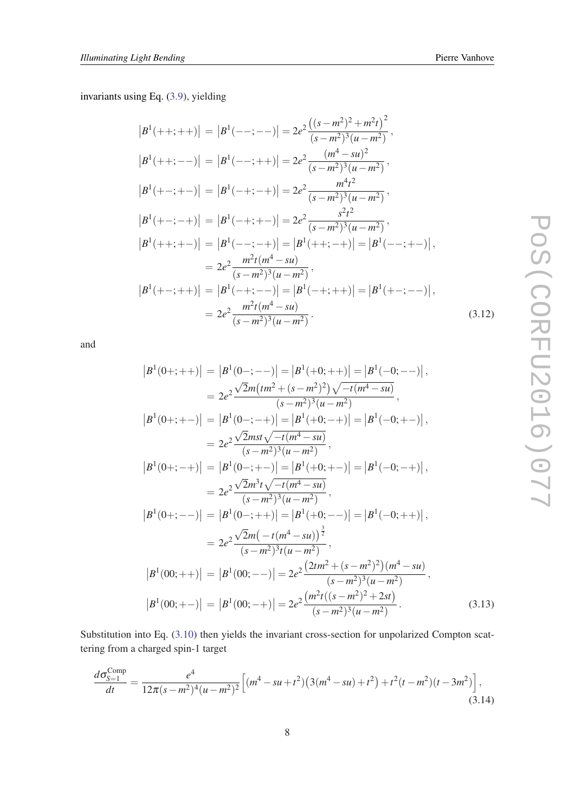invariants using Eq. ([3.9\)](#page-6-0), yielding

$$
|B^{1}(++,++)| = |B^{1}(--;--)| = 2e^{2} \frac{((s-m^{2})^{2}+m^{2}t)^{2}}{(s-m^{2})^{3}(u-m^{2})},
$$
  
\n
$$
|B^{1}(++,--)| = |B^{1}(-;++)| = 2e^{2} \frac{(m^{4}-su)^{2}}{(s-m^{2})^{3}(u-m^{2})},
$$
  
\n
$$
|B^{1}(+-;+-)| = |B^{1}(-+;-+)| = 2e^{2} \frac{m^{4}t^{2}}{(s-m^{2})^{3}(u-m^{2})},
$$
  
\n
$$
|B^{1}(+-;-+)| = |B^{1}(-+;+-)| = 2e^{2} \frac{s^{2}t^{2}}{(s-m^{2})^{3}(u-m^{2})},
$$
  
\n
$$
|B^{1}(++,+-)| = |B^{1}(--;-+)| = |B^{1}(++,-+)| = |B^{1}(--,+-)|,
$$
  
\n
$$
= 2e^{2} \frac{m^{2}t(m^{4}-su)}{(s-m^{2})^{3}(u-m^{2})},
$$
  
\n
$$
|B^{1}(+-;++)| = |B^{1}(-+;--)| = |B^{1}(-+;++)| = |B^{1}(+-;--)|,
$$
  
\n
$$
= 2e^{2} \frac{m^{2}t(m^{4}-su)}{(s-m^{2})^{3}(u-m^{2})}.
$$
  
\n(3.12)

and

$$
|B^{1}(0+;++)| = |B^{1}(0-;--)| = |B^{1}(+0;++)| = |B^{1}(-0;--)|,
$$
  
\n
$$
= 2e^{2} \frac{\sqrt{2}m\left(\frac{tm^{2}}{4} + (s-m^{2})^{2}\right)\sqrt{-t(m^{4}-su)}}{(s-m^{2})^{3}(u-m^{2})}},
$$
  
\n
$$
|B^{1}(0+;+-)| = |B^{1}(0-;-+)| = |B^{1}(+0;-+)| = |B^{1}(-0;+-)|,
$$
  
\n
$$
= 2e^{2} \frac{\sqrt{2}mst\sqrt{-t(m^{4}-su)}}{(s-m^{2})^{3}(u-m^{2})}},
$$
  
\n
$$
|B^{1}(0+;-+)| = |B^{1}(0-;+-)| = |B^{1}(+0;+-)| = |B^{1}(-0;-+)|,
$$
  
\n
$$
= 2e^{2} \frac{\sqrt{2}m^{3}t\sqrt{-t(m^{4}-su)}}{(s-m^{2})^{3}(u-m^{2})}},
$$
  
\n
$$
|B^{1}(0+;--)| = |B^{1}(0-;++)| = |B^{1}(+0;--)| = |B^{1}(-0;++)|,
$$
  
\n
$$
= 2e^{2} \frac{\sqrt{2}m(-t(m^{4}-su))^{3}}{(s-m^{2})^{3}t(u-m^{2})}},
$$
  
\n
$$
|B^{1}(00;++)| = |B^{1}(00;--)| = 2e^{2} \frac{(2tm^{2}+(s-m^{2})^{2})(m^{4}-su)}{(s-m^{2})^{3}(u-m^{2})},
$$
  
\n
$$
|B^{1}(00;+-)| = |B^{1}(00;-+)| = 2e^{2} \frac{(m^{2}t((s-m^{2})^{2}+2st)}{(s-m^{2})^{3}(u-m^{2})}.
$$
  
\n(3.13)

Substitution into Eq. [\(3.10](#page-6-0)) then yields the invariant cross-section for unpolarized Compton scattering from a charged spin-1 target

$$
\frac{d\sigma_{S=1}^{\text{Comp}}}{dt} = \frac{e^4}{12\pi(s-m^2)^4(u-m^2)^2} \left[ (m^4 - su + t^2) \left( 3(m^4 - su) + t^2 \right) + t^2 (t - m^2) (t - 3m^2) \right],
$$
\n(3.14)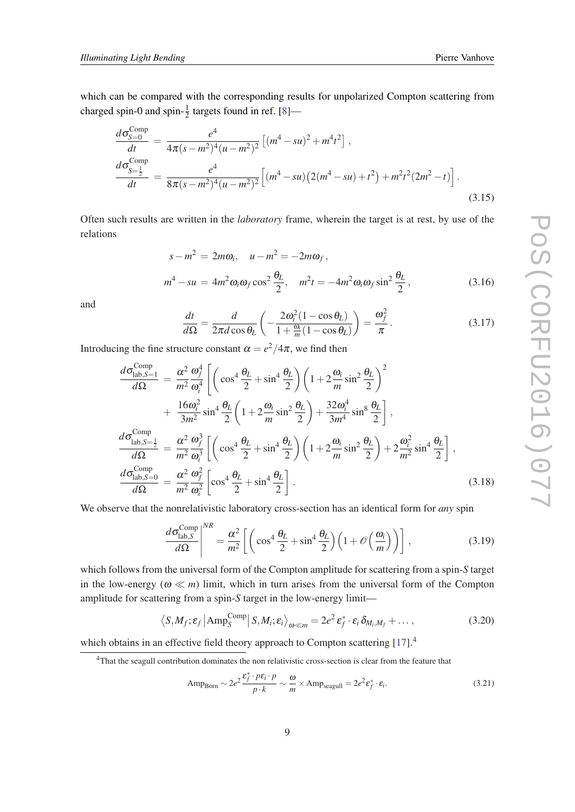which can be compared with the corresponding results for unpolarized Compton scattering from charged spin-0 and spin- $\frac{1}{2}$  targets found in ref. [\[8](#page-33-0)]—

$$
\frac{d\sigma_{S=0}^{\text{Comp}}}{dt} = \frac{e^4}{4\pi(s - m^2)^4 (u - m^2)^2} \left[ (m^4 - su)^2 + m^4 t^2 \right],
$$
\n
$$
\frac{d\sigma_{S=\frac{1}{2}}^{\text{Comp}}}{dt} = \frac{e^4}{8\pi(s - m^2)^4 (u - m^2)^2} \left[ (m^4 - su)(2(m^4 - su) + t^2) + m^2 t^2 (2m^2 - t) \right].
$$
\n(3.15)

Often such results are written in the *laboratory* frame, wherein the target is at rest, by use of the relations

$$
s - m2 = 2m\omega_i, \quad u - m2 = -2m\omega_f,
$$
  

$$
m4 - su = 4m2\omega_i\omega_f\cos^2\frac{\theta_L}{2}, \quad m2t = -4m2\omega_i\omega_f\sin^2\frac{\theta_L}{2},
$$
(3.16)

and

$$
\frac{dt}{d\Omega} = \frac{d}{2\pi d\cos\theta_L} \left( -\frac{2\omega_i^2 (1 - \cos\theta_L)}{1 + \frac{\omega_i}{m} (1 - \cos\theta_L)} \right) = \frac{\omega_f^2}{\pi}.
$$
\n(3.17)

Introducing the fine structure constant  $\alpha = e^2/4\pi$ , we find then

$$
\frac{d\sigma_{\text{lab},S=1}^{\text{Comp}}}{d\Omega} = \frac{\alpha^2}{m^2} \frac{\omega_f^4}{\omega_i^4} \left[ \left( \cos^4 \frac{\theta_L}{2} + \sin^4 \frac{\theta_L}{2} \right) \left( 1 + 2 \frac{\omega_i}{m} \sin^2 \frac{\theta_L}{2} \right)^2 + \frac{16\omega_i^2}{3m^2} \sin^4 \frac{\theta_L}{2} \left( 1 + 2 \frac{\omega_i}{m} \sin^2 \frac{\theta_L}{2} \right) + \frac{32\omega_i^4}{3m^4} \sin^8 \frac{\theta_L}{2} \right],
$$
\n
$$
\frac{d\sigma_{\text{lab},S=\frac{1}{2}}^{\text{Comp}}}{d\Omega} = \frac{\alpha^2}{m^2} \frac{\omega_j^3}{\omega_i^3} \left[ \left( \cos^4 \frac{\theta_L}{2} + \sin^4 \frac{\theta_L}{2} \right) \left( 1 + 2 \frac{\omega_i}{m} \sin^2 \frac{\theta_L}{2} \right) + 2 \frac{\omega_i^2}{m^2} \sin^4 \frac{\theta_L}{2} \right],
$$
\n
$$
\frac{d\sigma_{\text{lab},S=0}^{\text{Comp}}}{d\Omega} = \frac{\alpha^2}{m^2} \frac{\omega_f^2}{\omega_i^2} \left[ \cos^4 \frac{\theta_L}{2} + \sin^4 \frac{\theta_L}{2} \right].
$$
\n(3.18)

We observe that the nonrelativistic laboratory cross-section has an identical form for *any* spin

$$
\frac{d\sigma_{\text{lab},S}^{\text{Comp}}}{d\Omega}\Big|^{NR} = \frac{\alpha^2}{m^2} \left[ \left( \cos^4 \frac{\theta_L}{2} + \sin^4 \frac{\theta_L}{2} \right) \left( 1 + \mathcal{O}\left(\frac{\omega_i}{m}\right) \right) \right],\tag{3.19}
$$

which follows from the universal form of the Compton amplitude for scattering from a spin-*S* target in the low-energy ( $\omega \ll m$ ) limit, which in turn arises from the universal form of the Compton amplitude for scattering from a spin-*S* target in the low-energy limit—

$$
\langle S, M_f; \varepsilon_f | \text{Amp}_S^{\text{Comp}} | S, M_i; \varepsilon_i \rangle_{\omega \ll m} = 2e^2 \varepsilon_f^* \cdot \varepsilon_i \, \delta_{M_i, M_f} + \dots,
$$
\n(3.20)

which obtains in an effective field theory approach to Compton scattering [\[17](#page-33-0)].<sup>4</sup>

$$
AmpBorn \sim 2e2 \frac{\varepsilon_f^* \cdot p\varepsilon_i \cdot p}{p \cdot k} \sim \frac{\omega}{m} \times Ampseagull = 2e2 \varepsilon_f^* \cdot \varepsilon_i.
$$
 (3.21)

<sup>&</sup>lt;sup>4</sup>That the seagull contribution dominates the non relativistic cross-section is clear from the feature that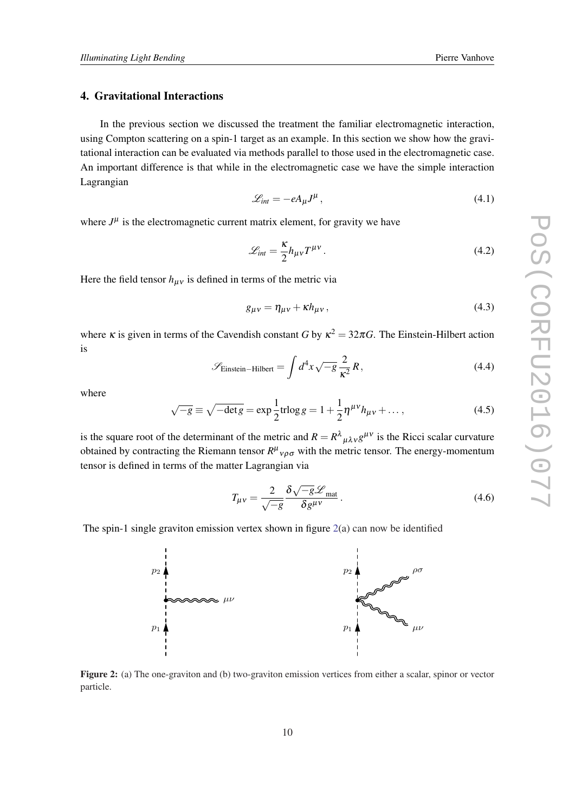# <span id="page-9-0"></span>4. Gravitational Interactions

In the previous section we discussed the treatment the familiar electromagnetic interaction, using Compton scattering on a spin-1 target as an example. In this section we show how the gravitational interaction can be evaluated via methods parallel to those used in the electromagnetic case. An important difference is that while in the electromagnetic case we have the simple interaction Lagrangian

$$
\mathcal{L}_{int} = -eA_{\mu}J^{\mu},\qquad(4.1)
$$

where  $J^{\mu}$  is the electromagnetic current matrix element, for gravity we have

$$
\mathcal{L}_{int} = \frac{\kappa}{2} h_{\mu\nu} T^{\mu\nu} \,. \tag{4.2}
$$

Here the field tensor  $h_{\mu\nu}$  is defined in terms of the metric via

$$
g_{\mu\nu} = \eta_{\mu\nu} + \kappa h_{\mu\nu},\tag{4.3}
$$

where  $\kappa$  is given in terms of the Cavendish constant *G* by  $\kappa^2 = 32\pi G$ . The Einstein-Hilbert action is

$$
\mathcal{S}_{\text{Einstein-Hilbert}} = \int d^4x \sqrt{-g} \frac{2}{\kappa^2} R,\tag{4.4}
$$

where

$$
\sqrt{-g} \equiv \sqrt{-\det g} = \exp \frac{1}{2} \text{tr} \log g = 1 + \frac{1}{2} \eta^{\mu \nu} h_{\mu \nu} + \dots,
$$
 (4.5)

is the square root of the determinant of the metric and  $R = R^{\lambda}{}_{\mu\lambda\nu}g^{\mu\nu}$  is the Ricci scalar curvature obtained by contracting the Riemann tensor  $R^{\mu}{}_{\nu\rho\sigma}$  with the metric tensor. The energy-momentum tensor is defined in terms of the matter Lagrangian via

$$
T_{\mu\nu} = \frac{2}{\sqrt{-g}} \frac{\delta \sqrt{-g} \mathcal{L}_{\text{mat}}}{\delta g^{\mu\nu}}.
$$
 (4.6)

The spin-1 single graviton emission vertex shown in figure  $2(a)$  can now be identified



Figure 2: (a) The one-graviton and (b) two-graviton emission vertices from either a scalar, spinor or vector particle.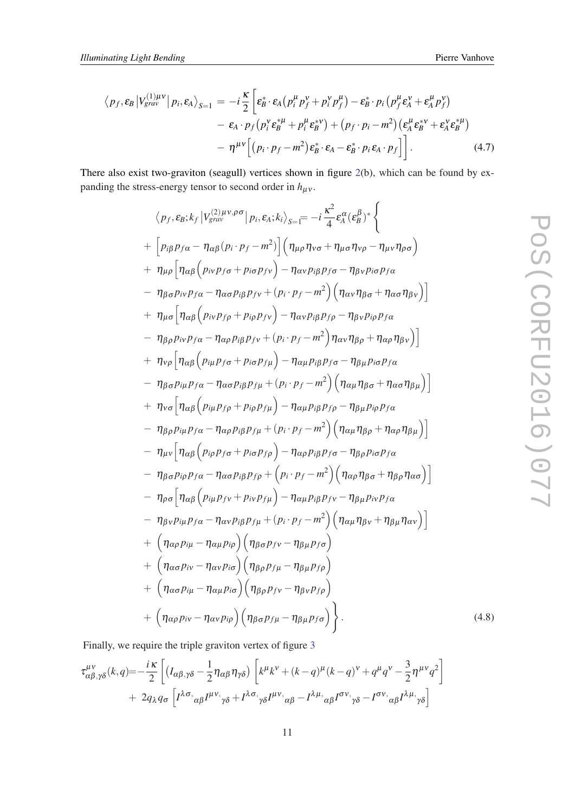<span id="page-10-0"></span>
$$
\langle p_f, \varepsilon_B | V_{grav}^{(1)\mu\nu} | p_i, \varepsilon_A \rangle_{S=1} = -i \frac{\kappa}{2} \left[ \varepsilon_B^* \cdot \varepsilon_A \left( p_i^{\mu} p_f^{\nu} + p_i^{\nu} p_f^{\mu} \right) - \varepsilon_B^* \cdot p_i \left( p_f^{\mu} \varepsilon_A^{\nu} + \varepsilon_A^{\mu} p_f^{\nu} \right) \right. \\ \left. - \varepsilon_A \cdot p_f \left( p_i^{\nu} \varepsilon_B^{*\mu} + p_i^{\mu} \varepsilon_B^{*\nu} \right) + \left( p_f \cdot p_i - m^2 \right) \left( \varepsilon_A^{\mu} \varepsilon_B^{*\nu} + \varepsilon_A^{\nu} \varepsilon_B^{*\mu} \right) \right. \\ \left. - \eta^{\mu\nu} \left[ \left( p_i \cdot p_f - m^2 \right) \varepsilon_B^* \cdot \varepsilon_A - \varepsilon_B^* \cdot p_i \varepsilon_A \cdot p_f \right] \right]. \tag{4.7}
$$

There also exist two-graviton (seagull) vertices shown in figure [2](#page-9-0)(b), which can be found by expanding the stress-energy tensor to second order in  $h_{\mu\nu}$ .

$$
\langle p_f, \varepsilon_B; k_f | V_{grav}^{(2)\mu\nu,\rho\sigma} | p_i, \varepsilon_A; k_i \rangle_{S=\overline{i}} = -i \frac{\kappa^2}{4} \varepsilon_A^{\alpha} (\varepsilon_B^{\beta})^* \Big\}
$$
  
+ 
$$
\Big[ p_{i\beta} p_{f\alpha} - \eta_{\alpha\beta} (p_i \cdot p_f - m^2) \Big] \Big( \eta_{\mu\rho} \eta_{\nu\sigma} + \eta_{\mu\sigma} \eta_{\nu\rho} - \eta_{\mu\nu} \eta_{\rho\sigma} \Big)
$$
  
+ 
$$
\eta_{\mu\rho} \Big[ \eta_{\alpha\beta} \Big( p_{i\nu} p_{f\sigma} + p_{i\sigma} p_{f\nu} \Big) - \eta_{\alpha\nu} p_{i\beta} p_{f\sigma} - \eta_{\beta\nu} p_{i\sigma} p_{f\alpha}
$$
  
- 
$$
\eta_{\beta\sigma} p_{i\nu} p_{f\alpha} - \eta_{\alpha\sigma} p_{i\beta} p_{f\nu} + (p_i \cdot p_f - m^2) \Big( \eta_{\alpha\nu} \eta_{\beta\sigma} + \eta_{\alpha\sigma} \eta_{\beta\nu} \Big) \Big]
$$
  
+ 
$$
\eta_{\mu\sigma} \Big[ \eta_{\alpha\beta} \Big( p_{i\nu} p_{f\rho} + p_{i\rho} p_{f\nu} \Big) - \eta_{\alpha\nu} p_{i\beta} p_{f\rho} - \eta_{\beta\nu} p_{i\rho} p_{f\alpha}
$$
  
- 
$$
\eta_{\beta\rho} p_{i\nu} p_{f\alpha} - \eta_{\alpha\rho} p_{i\beta} p_{f\nu} + (p_i \cdot p_f - m^2) \eta_{\alpha\nu} \eta_{\beta\rho} + \eta_{\alpha\rho} \eta_{\beta\nu} \Big) \Big]
$$
  
+ 
$$
\eta_{\nu\rho} \Big[ \eta_{\alpha\beta} \Big( p_{i\mu} p_{f\sigma} + p_{i\sigma} p_{f\mu} \Big) - \eta_{\alpha\mu} p_{i\beta} p_{f\sigma} - \eta_{\beta\mu} p_{i\sigma} p_{f\alpha}
$$
  
- 
$$
\eta_{\beta\sigma} p_{i\mu} p_{f\alpha} - \eta_{\alpha\sigma} p_{i\beta} p_{f\mu} + (p_i \cdot p_f
$$

Finally, we require the triple graviton vertex of figure [3](#page-11-0)

$$
\tau_{\alpha\beta,\gamma\delta}^{\mu\nu}(k,q) = -\frac{i\kappa}{2} \left[ \left( I_{\alpha\beta,\gamma\delta} - \frac{1}{2} \eta_{\alpha\beta} \eta_{\gamma\delta} \right) \left[ k^{\mu}k^{\nu} + (k-q)^{\mu}(k-q)^{\nu} + q^{\mu}q^{\nu} - \frac{3}{2} \eta^{\mu\nu}q^2 \right] + 2q_{\lambda}q_{\sigma} \left[ I^{\lambda\sigma}{}_{\alpha\beta}I^{\mu\nu}{}_{\gamma\delta} + I^{\lambda\sigma}{}_{\gamma\delta}I^{\mu\nu}{}_{\alpha\beta} - I^{\lambda\mu}{}_{\alpha\beta}I^{\sigma\nu}{}_{\gamma\delta} - I^{\sigma\nu}{}_{\alpha\beta}I^{\lambda\mu}{}_{\gamma\delta} \right]
$$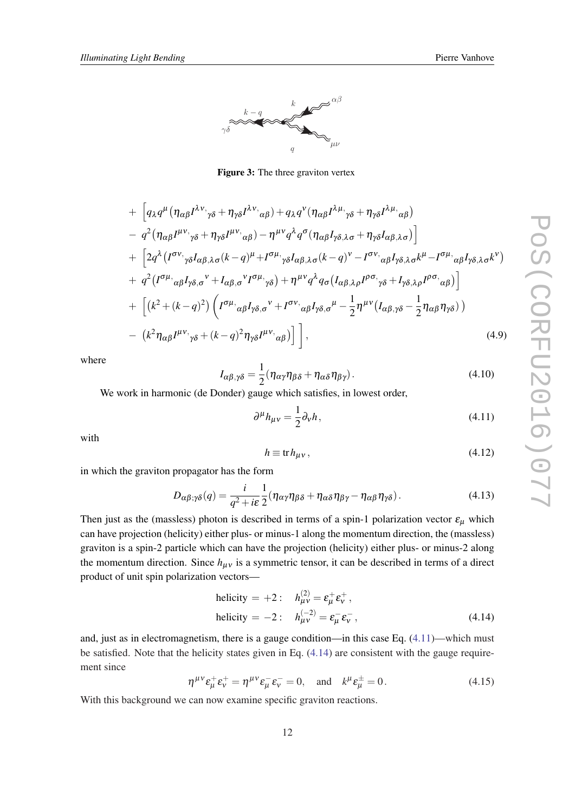<span id="page-11-0"></span>

Figure 3: The three graviton vertex

+ 
$$
\left[ q_{\lambda} q^{\mu} (\eta_{\alpha\beta} I^{\lambda\nu},{}_{\gamma\delta} + \eta_{\gamma\delta} I^{\lambda\nu},{}_{\alpha\beta}) + q_{\lambda} q^{\nu} (\eta_{\alpha\beta} I^{\lambda\mu},{}_{\gamma\delta} + \eta_{\gamma\delta} I^{\lambda\mu},{}_{\alpha\beta})
$$
  
\n-  $q^2 (\eta_{\alpha\beta} I^{\mu\nu},{}_{\gamma\delta} + \eta_{\gamma\delta} I^{\mu\nu},{}_{\alpha\beta}) - \eta^{\mu\nu} q^{\lambda} q^{\sigma} (\eta_{\alpha\beta} I_{\gamma\delta},{}_{\lambda\sigma} + \eta_{\gamma\delta} I_{\alpha\beta},{}_{\lambda\sigma}) \right]$   
\n+  $\left[ 2q^{\lambda} (I^{\sigma\nu},{}_{\gamma\delta} I_{\alpha\beta},{}_{\lambda\sigma}(k-q)^{\mu} + I^{\sigma\mu},{}_{\gamma\delta} I_{\alpha\beta},{}_{\lambda\sigma}(k-q)^{\nu} - I^{\sigma\nu},{}_{\alpha\beta} I_{\gamma\delta},{}_{\lambda\sigma} k^{\mu} - I^{\sigma\mu},{}_{\alpha\beta} I_{\gamma\delta},{}_{\lambda\sigma} k^{\nu}) \right]$   
\n+  $q^2 (I^{\sigma\mu},{}_{\alpha\beta} I_{\gamma\delta},{}_{\sigma}{}^{\nu} + I_{\alpha\beta},{}_{\sigma}{}^{\nu} I^{\sigma\mu},{}_{\gamma\delta}) + \eta^{\mu\nu} q^{\lambda} q_{\sigma} (I_{\alpha\beta},{}_{\lambda\rho} I^{\rho\sigma},{}_{\gamma\delta} + I_{\gamma\delta},{}_{\lambda\rho} I^{\rho\sigma},{}_{\alpha\beta}) \right]$   
\n+  $\left[ (k^2 + (k - q)^2) \left( I^{\sigma\mu},{}_{\alpha\beta} I_{\gamma\delta},{}^{\sigma} + I^{\sigma\nu},{}_{\alpha\beta} I_{\gamma\delta},{}_{\sigma}{}^{\mu} - \frac{1}{2} \eta^{\mu\nu} (I_{\alpha\beta},{}_{\gamma\delta} - \frac{1}{2} \eta_{\alpha\beta} \eta_{\gamma\delta}) \right) \right]$   
\n-  $(k^2 \eta_{\alpha\beta} I^{\mu\nu},{}_{\gamma\delta} + (k - q)^2 \eta_{\gamma\delta} I^{\mu\nu},{}_{\alpha\beta})$ 

where

$$
I_{\alpha\beta,\gamma\delta} = \frac{1}{2} (\eta_{\alpha\gamma}\eta_{\beta\delta} + \eta_{\alpha\delta}\eta_{\beta\gamma}).
$$
\n(4.10)

We work in harmonic (de Donder) gauge which satisfies, in lowest order,

$$
\partial^{\mu}h_{\mu\nu} = \frac{1}{2}\partial_{\nu}h,\tag{4.11}
$$

with

$$
h \equiv \text{tr} h_{\mu\nu},\tag{4.12}
$$

in which the graviton propagator has the form

$$
D_{\alpha\beta;\gamma\delta}(q) = \frac{i}{q^2 + i\varepsilon} \frac{1}{2} (\eta_{\alpha\gamma}\eta_{\beta\delta} + \eta_{\alpha\delta}\eta_{\beta\gamma} - \eta_{\alpha\beta}\eta_{\gamma\delta}).
$$
\n(4.13)

Then just as the (massless) photon is described in terms of a spin-1 polarization vector  $\varepsilon_{\mu}$  which can have projection (helicity) either plus- or minus-1 along the momentum direction, the (massless) graviton is a spin-2 particle which can have the projection (helicity) either plus- or minus-2 along the momentum direction. Since  $h_{\mu\nu}$  is a symmetric tensor, it can be described in terms of a direct product of unit spin polarization vectors—

helicity = +2: 
$$
h_{\mu\nu}^{(2)} = \varepsilon_{\mu}^+ \varepsilon_{\nu}^+
$$
,  
helicity = -2:  $h_{\mu\nu}^{(-2)} = \varepsilon_{\mu}^- \varepsilon_{\nu}^-$ , (4.14)

and, just as in electromagnetism, there is a gauge condition—in this case Eq. (4.11)—which must be satisfied. Note that the helicity states given in Eq. (4.14) are consistent with the gauge requirement since

$$
\eta^{\mu\nu}\varepsilon_{\mu}^{+}\varepsilon_{\nu}^{+} = \eta^{\mu\nu}\varepsilon_{\mu}^{-}\varepsilon_{\nu}^{-} = 0, \quad \text{and} \quad k^{\mu}\varepsilon_{\mu}^{\pm} = 0. \tag{4.15}
$$

With this background we can now examine specific graviton reactions.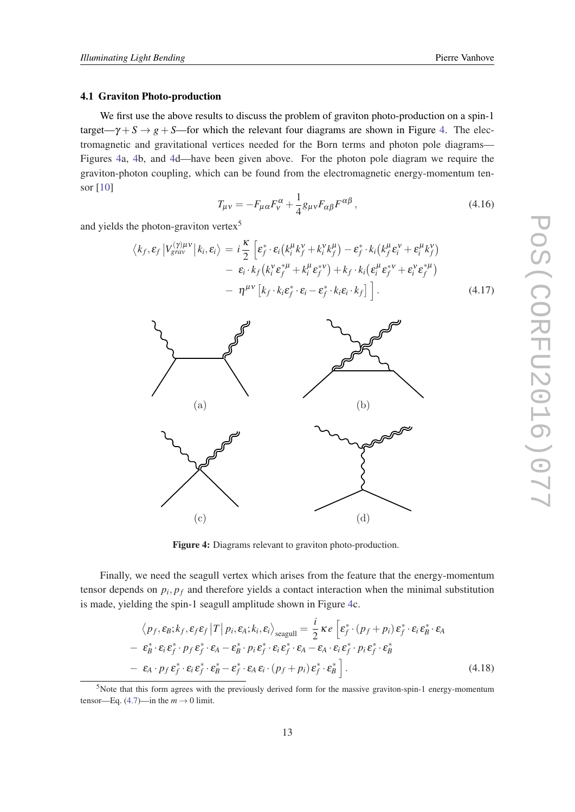#### <span id="page-12-0"></span>4.1 Graviton Photo-production

We first use the above results to discuss the problem of graviton photo-production on a spin-1 target— $\gamma + S \rightarrow g + S$ —for which the relevant four diagrams are shown in Figure 4. The electromagnetic and gravitational vertices needed for the Born terms and photon pole diagrams— Figures 4a, 4b, and 4d—have been given above. For the photon pole diagram we require the graviton-photon coupling, which can be found from the electromagnetic energy-momentum tensor [\[10\]](#page-33-0)

$$
T_{\mu\nu} = -F_{\mu\alpha}F_{\nu}^{\alpha} + \frac{1}{4}g_{\mu\nu}F_{\alpha\beta}F^{\alpha\beta},\qquad(4.16)
$$

and yields the photon-graviton vertex<sup>5</sup>

$$
\langle k_f, \varepsilon_f | V_{grav}^{(\gamma)\mu\nu} | k_i, \varepsilon_i \rangle = i \frac{\kappa}{2} \left[ \varepsilon_f^* \cdot \varepsilon_i (k_i^\mu k_f^\nu + k_i^\nu k_f^\mu) - \varepsilon_f^* \cdot k_i (k_f^\mu \varepsilon_i^\nu + \varepsilon_i^\mu k_f^\nu) - \varepsilon_i \cdot k_f (k_i^\nu \varepsilon_f^{*\mu} + k_i^\mu \varepsilon_f^{*\nu}) + k_f \cdot k_i (\varepsilon_i^\mu \varepsilon_f^{*\nu} + \varepsilon_i^\nu \varepsilon_f^{*\mu}) - \eta^{\mu\nu} \left[ k_f \cdot k_i \varepsilon_f^* \cdot \varepsilon_i - \varepsilon_f^* \cdot k_i \varepsilon_i \cdot k_f \right] \right]. \tag{4.17}
$$



Figure 4: Diagrams relevant to graviton photo-production.

Finally, we need the seagull vertex which arises from the feature that the energy-momentum tensor depends on  $p_i$ ,  $p_f$  and therefore yields a contact interaction when the minimal substitution is made, yielding the spin-1 seagull amplitude shown in Figure 4c.

$$
\langle p_f, \varepsilon_B; k_f, \varepsilon_f \varepsilon_f | T | p_i, \varepsilon_A; k_i, \varepsilon_i \rangle_{\text{seagull}} = \frac{i}{2} \kappa e \left[ \varepsilon_f^* \cdot (p_f + p_i) \varepsilon_f^* \cdot \varepsilon_i \varepsilon_B^* \cdot \varepsilon_A - \varepsilon_B^* \cdot \varepsilon_i \varepsilon_f^* \cdot p_f \varepsilon_f^* \cdot \varepsilon_A - \varepsilon_B^* \cdot p_i \varepsilon_f^* \cdot \varepsilon_i \varepsilon_f^* \cdot \varepsilon_A - \varepsilon_A \cdot \varepsilon_i \varepsilon_f^* \cdot p_i \varepsilon_f^* \cdot \varepsilon_B^* - \varepsilon_A \cdot p_f \varepsilon_f^* \cdot \varepsilon_i \varepsilon_f^* \cdot \varepsilon_i \varepsilon_f^* \cdot \varepsilon_A \varepsilon_i \cdot (p_f + p_i) \varepsilon_f^* \cdot \varepsilon_B^* \right].
$$
\n(4.18)

<sup>5</sup>Note that this form agrees with the previously derived form for the massive graviton-spin-1 energy-momentum tensor—Eq. [\(4.7\)](#page-10-0)—in the  $m \to 0$  limit.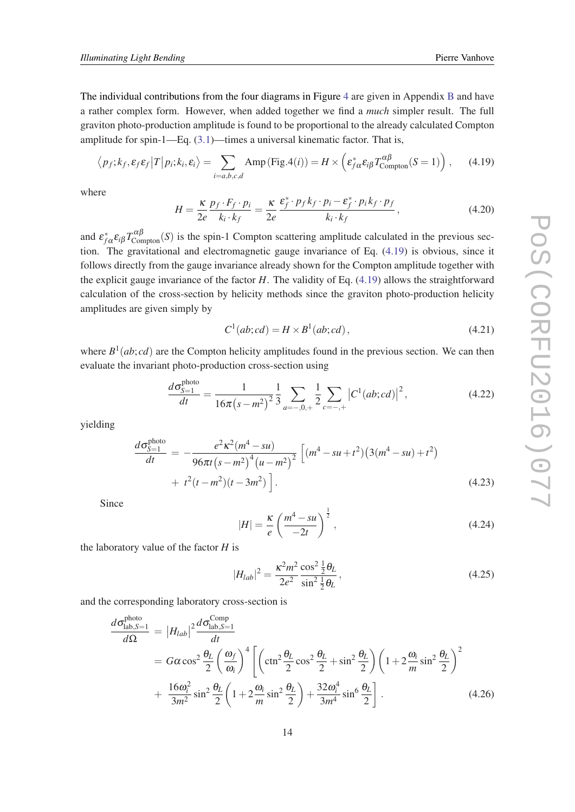<span id="page-13-0"></span>The individual contributions from the four diagrams in Figure [4](#page-12-0) are given in Appendix [B](#page-29-0) and have a rather complex form. However, when added together we find a *much* simpler result. The full graviton photo-production amplitude is found to be proportional to the already calculated Compton amplitude for spin-1—Eq. ([3.1](#page-4-0))—times a universal kinematic factor. That is,

$$
\langle p_f; k_f, \varepsilon_f \varepsilon_f | T | p_i; k_i, \varepsilon_i \rangle = \sum_{i=a,b,c,d} \text{Amp}(\text{Fig.4}(i)) = H \times \left( \varepsilon_{f\alpha}^* \varepsilon_{i\beta} T_{\text{Compton}}^{\alpha\beta}(S=1) \right), \tag{4.19}
$$

where

$$
H = \frac{\kappa}{2e} \frac{p_f \cdot F_f \cdot p_i}{k_i \cdot k_f} = \frac{\kappa}{2e} \frac{\varepsilon_f^* \cdot p_f k_f \cdot p_i - \varepsilon_f^* \cdot p_i k_f \cdot p_f}{k_i \cdot k_f},
$$
(4.20)

and  $\varepsilon_{f\alpha}^* \varepsilon_{i\beta} T_{\text{Compton}}^{\alpha\beta}(S)$  is the spin-1 Compton scattering amplitude calculated in the previous section. The gravitational and electromagnetic gauge invariance of Eq. (4.19) is obvious, since it follows directly from the gauge invariance already shown for the Compton amplitude together with the explicit gauge invariance of the factor *H*. The validity of Eq. (4.19) allows the straightforward calculation of the cross-section by helicity methods since the graviton photo-production helicity amplitudes are given simply by

$$
C1(ab; cd) = H \times B1(ab; cd),
$$
\n(4.21)

where  $B^1(ab; cd)$  are the Compton helicity amplitudes found in the previous section. We can then evaluate the invariant photo-production cross-section using

$$
\frac{d\sigma_{S=1}^{\text{photo}}}{dt} = \frac{1}{16\pi (s - m^2)^2} \frac{1}{3} \sum_{a = -0, +} \frac{1}{2} \sum_{c = -, +} |C^1(ab; cd)|^2, \tag{4.22}
$$

yielding

$$
\frac{d\sigma_{S=1}^{\text{photo}}}{dt} = -\frac{e^2 \kappa^2 (m^4 - su)}{96\pi t (s - m^2)^4 (u - m^2)^2} \left[ (m^4 - su + t^2) (3(m^4 - su) + t^2) + t^2 (t - m^2) (t - 3m^2) \right].
$$
\n(4.23)

Since

$$
|H| = \frac{\kappa}{e} \left(\frac{m^4 - su}{-2t}\right)^{\frac{1}{2}},\tag{4.24}
$$

the laboratory value of the factor *H* is

$$
|H_{lab}|^2 = \frac{\kappa^2 m^2 \cos^2 \frac{1}{2} \theta_L}{2e^2 \sin^2 \frac{1}{2} \theta_L},
$$
\n(4.25)

and the corresponding laboratory cross-section is

$$
\frac{d\sigma_{\text{lab},S=1}^{\text{photo}}}{d\Omega} = |H_{lab}|^2 \frac{d\sigma_{\text{lab},S=1}^{\text{Comp}}}{dt}
$$
\n
$$
= G\alpha \cos^2 \frac{\theta_L}{2} \left(\frac{\omega_f}{\omega_i}\right)^4 \left[ \left(\cot^2 \frac{\theta_L}{2} \cos^2 \frac{\theta_L}{2} + \sin^2 \frac{\theta_L}{2}\right) \left(1 + 2\frac{\omega_i}{m} \sin^2 \frac{\theta_L}{2}\right)^2 + \frac{16\omega_i^2}{3m^2} \sin^2 \frac{\theta_L}{2} \left(1 + 2\frac{\omega_i}{m} \sin^2 \frac{\theta_L}{2}\right) + \frac{32\omega_i^4}{3m^4} \sin^6 \frac{\theta_L}{2} \right].
$$
\n(4.26)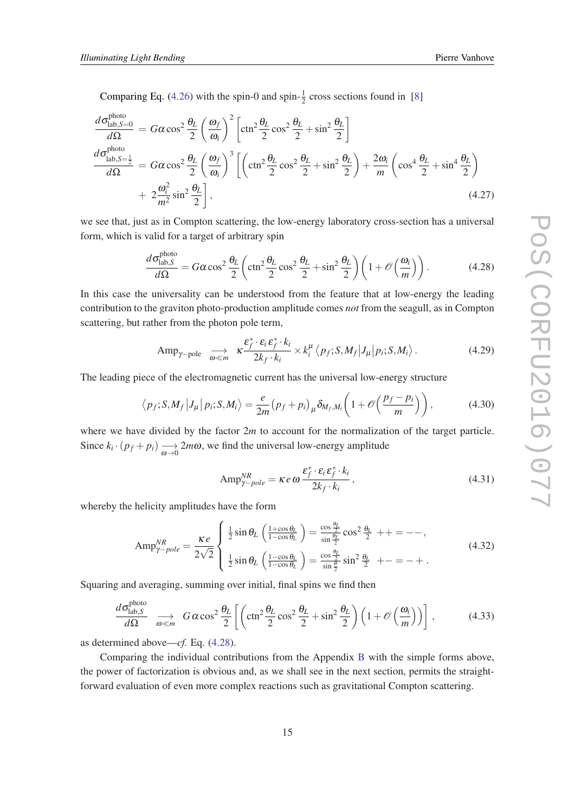<span id="page-14-0"></span>Comparing Eq. [\(4.26](#page-13-0)) with the spin-0 and spin- $\frac{1}{2}$  cross sections found in [\[8\]](#page-33-0)

$$
\frac{d\sigma_{\text{lab},S=0}^{\text{photo}}}{d\Omega} = G\alpha \cos^2 \frac{\theta_L}{2} \left(\frac{\omega_f}{\omega_i}\right)^2 \left[\cot^2 \frac{\theta_L}{2} \cos^2 \frac{\theta_L}{2} + \sin^2 \frac{\theta_L}{2}\right]
$$
\n
$$
\frac{d\sigma_{\text{lab},S=\frac{1}{2}}^{\text{photo}}}{d\Omega} = G\alpha \cos^2 \frac{\theta_L}{2} \left(\frac{\omega_f}{\omega_i}\right)^3 \left[\left(\cot^2 \frac{\theta_L}{2} \cos^2 \frac{\theta_L}{2} + \sin^2 \frac{\theta_L}{2}\right) + \frac{2\omega_i}{m} \left(\cos^4 \frac{\theta_L}{2} + \sin^4 \frac{\theta_L}{2}\right) + 2\frac{\omega_i^2}{m^2} \sin^2 \frac{\theta_L}{2}\right],
$$
\n(4.27)

we see that, just as in Compton scattering, the low-energy laboratory cross-section has a universal form, which is valid for a target of arbitrary spin

$$
\frac{d\sigma_{\text{lab},S}^{\text{photo}}}{d\Omega} = G\alpha \cos^2 \frac{\theta_L}{2} \left( \cot^2 \frac{\theta_L}{2} \cos^2 \frac{\theta_L}{2} + \sin^2 \frac{\theta_L}{2} \right) \left( 1 + \mathcal{O}\left(\frac{\omega_i}{m}\right) \right). \tag{4.28}
$$

In this case the universality can be understood from the feature that at low-energy the leading contribution to the graviton photo-production amplitude comes *not* from the seagull, as in Compton scattering, but rather from the photon pole term,

$$
\text{Amp}_{\gamma-\text{pole}} \quad \underset{\omega \ll m}{\longrightarrow} \quad \kappa \frac{\varepsilon_f^* \cdot \varepsilon_i \, \varepsilon_f^* \cdot k_i}{2k_f \cdot k_i} \times k_i^{\mu} \left\langle p_f; S, M_f \middle| J_{\mu} \middle| p_i; S, M_i \right\rangle. \tag{4.29}
$$

The leading piece of the electromagnetic current has the universal low-energy structure

$$
\langle p_f; S, M_f | J_\mu | p_i; S, M_i \rangle = \frac{e}{2m} (p_f + p_i)_\mu \delta_{M_f, M_i} \left( 1 + \mathcal{O} \left( \frac{p_f - p_i}{m} \right) \right), \tag{4.30}
$$

where we have divided by the factor 2m to account for the normalization of the target particle. Since  $k_i \cdot (p_f + p_i) \longrightarrow_{\omega \to 0} 2m\omega$ , we find the universal low-energy amplitude

$$
Amp_{\gamma-pole}^{NR} = \kappa e \omega \frac{\varepsilon_f^* \cdot \varepsilon_i \varepsilon_f^* \cdot k_i}{2k_f \cdot k_i},
$$
\n(4.31)

whereby the helicity amplitudes have the form

$$
Amp_{\gamma-pole}^{NR} = \frac{\kappa e}{2\sqrt{2}} \begin{cases} \frac{1}{2}\sin\theta_L \left(\frac{1+\cos\theta_L}{1-\cos\theta_L}\right) = \frac{\cos\frac{\theta_L}{2}}{\sin\frac{\theta_L}{2}}\cos^2\frac{\theta_L}{2} + + \cos\theta_L\\ \frac{1}{2}\sin\theta_L \left(\frac{1-\cos\theta_L}{1-\cos\theta_L}\right) = \frac{\cos\frac{\theta_L}{2}}{\sin\frac{\theta_L}{2}}\sin^2\frac{\theta_L}{2} + - \cos\theta_L \end{cases} (4.32)
$$

Squaring and averaging, summing over initial, final spins we find then

$$
\frac{d\sigma_{\text{lab},S}^{\text{photo}}}{d\Omega} \xrightarrow[\omega \ll m]{} G\alpha \cos^2 \frac{\theta_L}{2} \left[ \left( \cot^2 \frac{\theta_L}{2} \cos^2 \frac{\theta_L}{2} + \sin^2 \frac{\theta_L}{2} \right) \left( 1 + \mathcal{O}\left( \frac{\omega_i}{m} \right) \right) \right],
$$
\n(4.33)

as determined above—*cf.* Eq. (4.28).

Comparing the individual contributions from the Appendix [B](#page-29-0) with the simple forms above, the power of factorization is obvious and, as we shall see in the next section, permits the straightforward evaluation of even more complex reactions such as gravitational Compton scattering.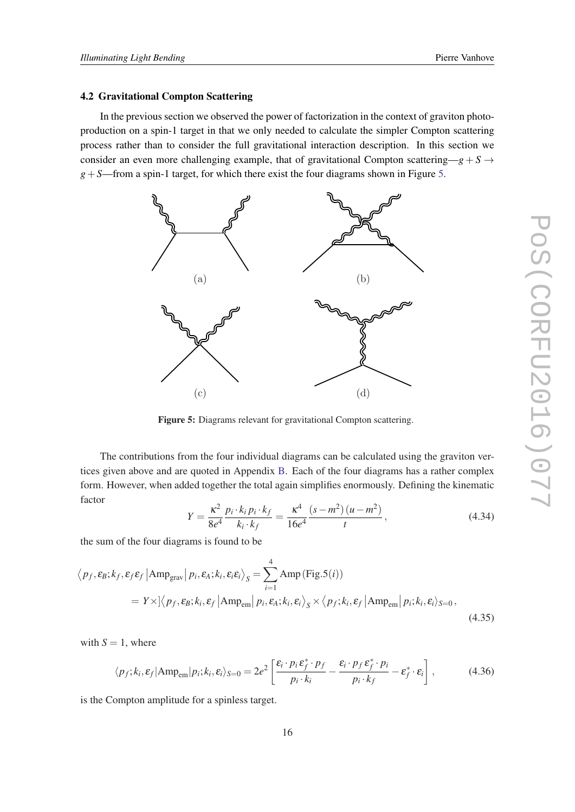## <span id="page-15-0"></span>4.2 Gravitational Compton Scattering

In the previous section we observed the power of factorization in the context of graviton photoproduction on a spin-1 target in that we only needed to calculate the simpler Compton scattering process rather than to consider the full gravitational interaction description. In this section we consider an even more challenging example, that of gravitational Compton scattering— $g + S \rightarrow$  $g + S$ —from a spin-1 target, for which there exist the four diagrams shown in Figure 5.



Figure 5: Diagrams relevant for gravitational Compton scattering.

The contributions from the four individual diagrams can be calculated using the graviton vertices given above and are quoted in Appendix [B](#page-29-0). Each of the four diagrams has a rather complex form. However, when added together the total again simplifies enormously. Defining the kinematic factor

$$
Y = \frac{\kappa^2}{8e^4} \frac{p_i \cdot k_i p_i \cdot k_f}{k_i \cdot k_f} = \frac{\kappa^4}{16e^4} \frac{(s - m^2)(u - m^2)}{t},
$$
(4.34)

the sum of the four diagrams is found to be

$$
\langle p_f, \varepsilon_B; k_f, \varepsilon_f \varepsilon_f | \text{Amp}_{\text{grav}} | p_i, \varepsilon_A; k_i, \varepsilon_i \varepsilon_i \rangle_S = \sum_{i=1}^4 \text{Amp}(\text{Fig.5}(i))
$$
  
=  $Y \times \left| \langle p_f, \varepsilon_B; k_i, \varepsilon_f | \text{Amp}_{\text{em}} | p_i, \varepsilon_A; k_i, \varepsilon_i \rangle_S \times \langle p_f; k_i, \varepsilon_f | \text{Amp}_{\text{em}} | p_i; k_i, \varepsilon_i \rangle_{S=0},$  (4.35)

with  $S = 1$ , where

$$
\langle p_f; k_i, \varepsilon_f | \text{Amp}_{em} | p_i; k_i, \varepsilon_i \rangle_{S=0} = 2e^2 \left[ \frac{\varepsilon_i \cdot p_i \varepsilon_f^* \cdot p_f}{p_i \cdot k_i} - \frac{\varepsilon_i \cdot p_f \varepsilon_f^* \cdot p_i}{p_i \cdot k_f} - \varepsilon_f^* \cdot \varepsilon_i \right],\tag{4.36}
$$

is the Compton amplitude for a spinless target.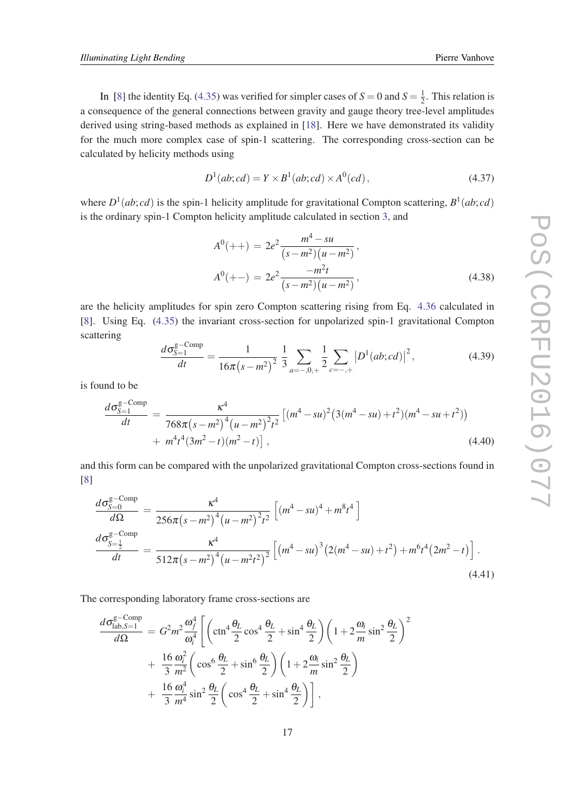In [\[8\]](#page-33-0) the identity Eq. [\(4.35](#page-15-0)) was verified for simpler cases of  $S = 0$  and  $S = \frac{1}{2}$  $\frac{1}{2}$ . This relation is a consequence of the general connections between gravity and gauge theory tree-level amplitudes derived using string-based methods as explained in [\[18](#page-33-0)]. Here we have demonstrated its validity for the much more complex case of spin-1 scattering. The corresponding cross-section can be calculated by helicity methods using

$$
D^{1}(ab; cd) = Y \times B^{1}(ab; cd) \times A^{0}(cd), \qquad (4.37)
$$

where  $D^1(ab; cd)$  is the spin-1 helicity amplitude for gravitational Compton scattering,  $B^1(ab; cd)$ is the ordinary spin-1 Compton helicity amplitude calculated in section [3](#page-4-0), and

$$
A^{0}(++) = 2e^{2} \frac{m^{4} - su}{(s - m^{2})(u - m^{2})},
$$
  
\n
$$
A^{0}(+-) = 2e^{2} \frac{-m^{2}t}{(s - m^{2})(u - m^{2})},
$$
\n(4.38)

are the helicity amplitudes for spin zero Compton scattering rising from Eq. [4.36](#page-15-0) calculated in [[8](#page-33-0)]. Using Eq. ([4.35\)](#page-15-0) the invariant cross-section for unpolarized spin-1 gravitational Compton scattering

$$
\frac{d\sigma_{S=1}^{\text{g-Comp}}}{dt} = \frac{1}{16\pi (s - m^2)^2} \frac{1}{3} \sum_{a = -,0,+} \frac{1}{2} \sum_{c = -,+} |D^1(ab;cd)|^2, \tag{4.39}
$$

is found to be

$$
\frac{d\sigma_{S=1}^{\text{g-Comp}}}{dt} = \frac{\kappa^4}{768\pi (s - m^2)^4 (u - m^2)^2 t^2} \left[ (m^4 - su)^2 (3(m^4 - su) + t^2)(m^4 - su + t^2) \right) + m^4 t^4 (3m^2 - t)(m^2 - t) \right],
$$
\n(4.40)

and this form can be compared with the unpolarized gravitational Compton cross-sections found in [[8](#page-33-0)]

$$
\frac{d\sigma_{S=0}^{\text{g-Comp}}}{d\Omega} = \frac{\kappa^4}{256\pi (s - m^2)^4 (u - m^2)^2 t^2} \left[ (m^4 - su)^4 + m^8 t^4 \right]
$$
  

$$
\frac{d\sigma_{S=\frac{1}{2}}^{\text{g-Comp}}}{dt} = \frac{\kappa^4}{512\pi (s - m^2)^4 (u - m^2 t^2)^2} \left[ (m^4 - su)^3 (2(m^4 - su) + t^2) + m^6 t^4 (2m^2 - t) \right].
$$
  
(4.41)

The corresponding laboratory frame cross-sections are

$$
\frac{d\sigma_{\text{lab},S=1}^{\text{g-Comp}}}{d\Omega} = G^2 m^2 \frac{\omega_f^4}{\omega_i^4} \left[ \left( \text{ctn}^4 \frac{\theta_L}{2} \cos^4 \frac{\theta_L}{2} + \sin^4 \frac{\theta_L}{2} \right) \left( 1 + 2 \frac{\omega_i}{m} \sin^2 \frac{\theta_L}{2} \right)^2 \right. \\
\left. + \frac{16}{3} \frac{\omega_i^2}{m^2} \left( \cos^6 \frac{\theta_L}{2} + \sin^6 \frac{\theta_L}{2} \right) \left( 1 + 2 \frac{\omega_i}{m} \sin^2 \frac{\theta_L}{2} \right) \right. \\
\left. + \frac{16}{3} \frac{\omega_i^4}{m^4} \sin^2 \frac{\theta_L}{2} \left( \cos^4 \frac{\theta_L}{2} + \sin^4 \frac{\theta_L}{2} \right) \right],
$$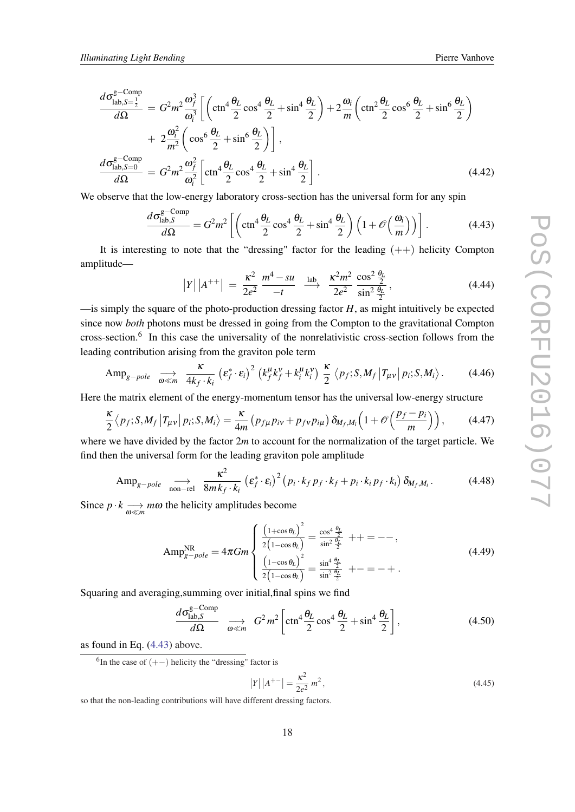$$
\frac{d\sigma_{\text{lab},S=\frac{1}{2}}^{\text{g}-\text{Comp}}}{d\Omega} = G^2 m^2 \frac{\omega_f^3}{\omega_i^3} \left[ \left( \text{ctn}^4 \frac{\theta_L}{2} \cos^4 \frac{\theta_L}{2} + \sin^4 \frac{\theta_L}{2} \right) + 2 \frac{\omega_i}{m} \left( \text{ctn}^2 \frac{\theta_L}{2} \cos^6 \frac{\theta_L}{2} + \sin^6 \frac{\theta_L}{2} \right) \right] \n+ 2 \frac{\omega_i^2}{m^2} \left( \cos^6 \frac{\theta_L}{2} + \sin^6 \frac{\theta_L}{2} \right) \right],
$$
\n
$$
\frac{d\sigma_{\text{lab},S=0}^{\text{g}-\text{Comp}}}{d\Omega} = G^2 m^2 \frac{\omega_f^2}{\omega_i^2} \left[ \text{ctn}^4 \frac{\theta_L}{2} \cos^4 \frac{\theta_L}{2} + \sin^4 \frac{\theta_L}{2} \right].
$$
\n(4.42)

We observe that the low-energy laboratory cross-section has the universal form for any spin

$$
\frac{d\sigma_{\text{lab},S}^{\text{g-Comp}}}{d\Omega} = G^2 m^2 \left[ \left( \text{ctn}^4 \frac{\theta_L}{2} \cos^4 \frac{\theta_L}{2} + \sin^4 \frac{\theta_L}{2} \right) \left( 1 + \mathcal{O}\left( \frac{\omega_i}{m} \right) \right) \right].
$$
 (4.43)

It is interesting to note that the "dressing" factor for the leading  $(++)$  helicity Compton amplitude—

$$
|Y| |A^{++}| = \frac{\kappa^2}{2e^2} \xrightarrow{m^4 - su} \xrightarrow{\text{lab}} \xrightarrow{\kappa^2 m^2} \frac{\cos^2 \frac{\theta_L}{2}}{\sin^2 \frac{\theta_L}{2}}, \tag{4.44}
$$

 $\equiv$  is simply the square of the photo-production dressing factor *H*, as might intuitively be expected since now *both* photons must be dressed in going from the Compton to the gravitational Compton cross-section.<sup>6</sup> In this case the universality of the nonrelativistic cross-section follows from the leading contribution arising from the graviton pole term

$$
\text{Amp}_{g-pole} \quad \underset{\omega \ll m}{\longrightarrow} \quad \frac{\kappa}{4k_f \cdot k_i} \left(\varepsilon_f^* \cdot \varepsilon_i\right)^2 \left(k_f^{\mu} k_f^{\nu} + k_i^{\mu} k_i^{\nu}\right) \frac{\kappa}{2} \left\langle p_f; S, M_f \left|T_{\mu\nu}\right| p_i; S, M_i\right\rangle. \tag{4.46}
$$

Here the matrix element of the energy-momentum tensor has the universal low-energy structure

$$
\frac{\kappa}{2} \left\langle p_f; S, M_f \left| T_{\mu\nu} \right| p_i; S, M_i \right\rangle = \frac{\kappa}{4m} \left( p_{f\mu} p_{i\nu} + p_{f\nu} p_{i\mu} \right) \delta_{M_f, M_i} \left( 1 + \mathcal{O} \left( \frac{p_f - p_i}{m} \right) \right), \tag{4.47}
$$

where we have divided by the factor 2*m* to account for the normalization of the target particle. We find then the universal form for the leading graviton pole amplitude

$$
\text{Amp}_{g-pole} \quad \underset{\text{non-rel}}{\longrightarrow} \quad \frac{\kappa^2}{8mk_f \cdot k_i} \left(\varepsilon_f^* \cdot \varepsilon_i\right)^2 \left(p_i \cdot k_f \, p_f \cdot k_f + p_i \cdot k_i \, p_f \cdot k_i\right) \delta_{M_f, M_i}.\tag{4.48}
$$

Since  $p \cdot k \longrightarrow m\omega$  the helicity amplitudes become

$$
Amp_{g-pole}^{NR} = 4\pi Gm \begin{cases} \frac{\left(1+\cos\theta_{L}\right)^{2}}{2\left(1-\cos\theta_{L}\right)} = \frac{\cos^{4}\frac{\theta_{L}}{2}}{\sin^{2}\frac{\theta_{L}}{2}} + + - - - ,\\ \frac{\left(1-\cos\theta_{L}\right)^{2}}{2\left(1-\cos\theta_{L}\right)} = \frac{\sin^{4}\frac{\theta_{L}}{2}}{\sin^{2}\frac{\theta_{L}}{2}} + - - - + . \end{cases}
$$
(4.49)

Squaring and averaging,summing over initial,final spins we find

$$
\frac{d\sigma_{\text{lab},S}^{\text{g-Comp}}}{d\Omega} \quad \underset{\omega \ll m}{\longrightarrow} \quad G^2 m^2 \left[ \text{ctn}^4 \frac{\theta_L}{2} \cos^4 \frac{\theta_L}{2} + \sin^4 \frac{\theta_L}{2} \right],\tag{4.50}
$$

as found in Eq. (4.43) above.

 ${}^{6}$ In the case of  $(+-)$  helicity the "dressing" factor is

$$
|Y| |A^{+-}| = \frac{\kappa^2}{2e^2} m^2,
$$
\n(4.45)

so that the non-leading contributions will have different dressing factors.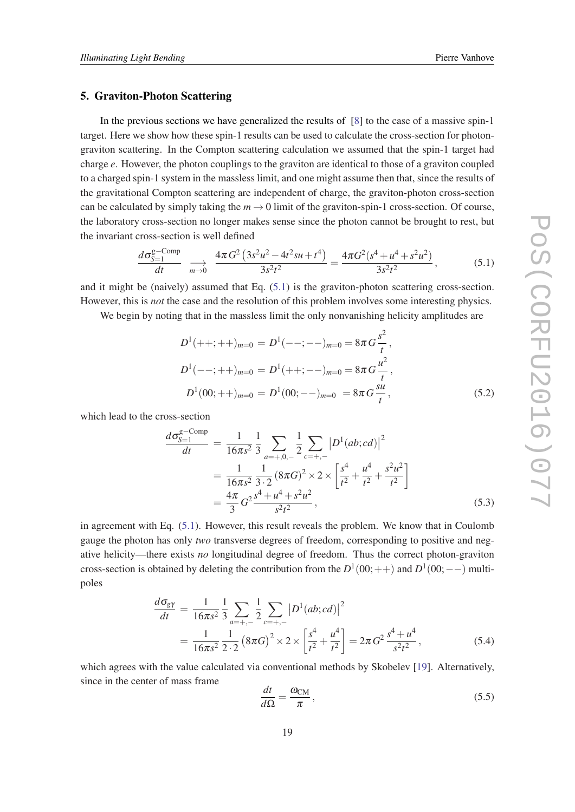#### <span id="page-18-0"></span>5. Graviton-Photon Scattering

In the previous sections we have generalized the results of [[8](#page-33-0)] to the case of a massive spin-1 target. Here we show how these spin-1 results can be used to calculate the cross-section for photongraviton scattering. In the Compton scattering calculation we assumed that the spin-1 target had charge *e*. However, the photon couplings to the graviton are identical to those of a graviton coupled to a charged spin-1 system in the massless limit, and one might assume then that, since the results of the gravitational Compton scattering are independent of charge, the graviton-photon cross-section can be calculated by simply taking the  $m \to 0$  limit of the graviton-spin-1 cross-section. Of course, the laboratory cross-section no longer makes sense since the photon cannot be brought to rest, but the invariant cross-section is well defined

$$
\frac{d\sigma_{S-1}^{\text{g-Comp}}}{dt} \xrightarrow[m \to 0]{} \frac{4\pi G^2 \left(3s^2u^2 - 4t^2su + t^4\right)}{3s^2t^2} = \frac{4\pi G^2(s^4 + u^4 + s^2u^2)}{3s^2t^2},
$$
(5.1)

and it might be (naively) assumed that Eq. (5.1) is the graviton-photon scattering cross-section. However, this is *not* the case and the resolution of this problem involves some interesting physics.

We begin by noting that in the massless limit the only nonvanishing helicity amplitudes are

$$
D^{1}(++,++)_{m=0} = D^{1}(--;--)_{m=0} = 8\pi G \frac{s^{2}}{t},
$$
  
\n
$$
D^{1}(--;++)_{m=0} = D^{1}(++,--)_{m=0} = 8\pi G \frac{u^{2}}{t},
$$
  
\n
$$
D^{1}(00;++)_{m=0} = D^{1}(00;--)_{m=0} = 8\pi G \frac{s u}{t},
$$
\n(5.2)

which lead to the cross-section

$$
\frac{d\sigma_{S=1}^{\text{g-Comp}}}{dt} = \frac{1}{16\pi s^2} \frac{1}{3} \sum_{a=+,0,-} \frac{1}{2} \sum_{c=+,-} |D^1(ab;cd)|^2
$$
  
= 
$$
\frac{1}{16\pi s^2} \frac{1}{3 \cdot 2} (8\pi G)^2 \times 2 \times \left[ \frac{s^4}{t^2} + \frac{u^4}{t^2} + \frac{s^2 u^2}{t^2} \right]
$$
  
= 
$$
\frac{4\pi}{3} G^2 \frac{s^4 + u^4 + s^2 u^2}{s^2 t^2},
$$
(5.3)

in agreement with Eq. (5.1). However, this result reveals the problem. We know that in Coulomb gauge the photon has only *two* transverse degrees of freedom, corresponding to positive and negative helicity—there exists *no* longitudinal degree of freedom. Thus the correct photon-graviton cross-section is obtained by deleting the contribution from the  $D^1(00;++)$  and  $D^1(00;--)$  multipoles

$$
\frac{d\sigma_{g\gamma}}{dt} = \frac{1}{16\pi s^2} \frac{1}{3} \sum_{a=+,-} \frac{1}{2} \sum_{c=+,-} |D^1(ab;cd)|^2
$$
  
= 
$$
\frac{1}{16\pi s^2} \frac{1}{2 \cdot 2} (8\pi G)^2 \times 2 \times \left[ \frac{s^4}{t^2} + \frac{u^4}{t^2} \right] = 2\pi G^2 \frac{s^4 + u^4}{s^2 t^2},
$$
(5.4)

which agrees with the value calculated via conventional methods by Skobelev [\[19](#page-33-0)]. Alternatively, since in the center of mass frame

$$
\frac{dt}{d\Omega} = \frac{\omega_{\text{CM}}}{\pi},\tag{5.5}
$$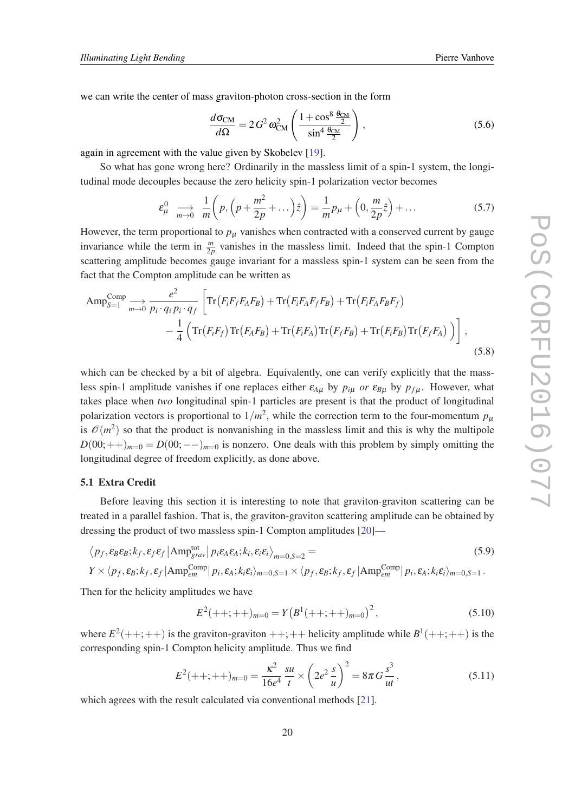we can write the center of mass graviton-photon cross-section in the form

$$
\frac{d\sigma_{\rm CM}}{d\Omega} = 2\,G^2\,\omega_{\rm CM}^2 \left( \frac{1 + \cos^8 \frac{\theta_{\rm CM}}{2}}{\sin^4 \frac{\theta_{\rm CM}}{2}} \right),\tag{5.6}
$$

again in agreement with the value given by Skobelev [\[19\]](#page-33-0).

So what has gone wrong here? Ordinarily in the massless limit of a spin-1 system, the longitudinal mode decouples because the zero helicity spin-1 polarization vector becomes

$$
\varepsilon_{\mu}^{0} \quad \underset{m \to 0}{\longrightarrow} \quad \frac{1}{m} \left( p, \left( p + \frac{m^{2}}{2p} + \dots \right) \hat{z} \right) = \frac{1}{m} p_{\mu} + \left( 0, \frac{m}{2p} \hat{z} \right) + \dots \tag{5.7}
$$

However, the term proportional to  $p<sub>\mu</sub>$  vanishes when contracted with a conserved current by gauge invariance while the term in  $\frac{m}{2p}$  vanishes in the massless limit. Indeed that the spin-1 Compton scattering amplitude becomes gauge invariant for a massless spin-1 system can be seen from the fact that the Compton amplitude can be written as

$$
\operatorname{Amp}^{\text{Comp}}_{S=1} \xrightarrow[m \to 0]{} \frac{e^2}{p_i \cdot q_i p_i \cdot q_f} \left[ \operatorname{Tr} \left( F_i F_f F_A F_B \right) + \operatorname{Tr} \left( F_i F_A F_f F_B \right) + \operatorname{Tr} \left( F_i F_A F_B F_f \right) \right. \\ \left. - \frac{1}{4} \left( \operatorname{Tr} \left( F_i F_f \right) \operatorname{Tr} \left( F_A F_B \right) + \operatorname{Tr} \left( F_i F_A \right) \operatorname{Tr} \left( F_f F_B \right) + \operatorname{Tr} \left( F_i F_B \right) \operatorname{Tr} \left( F_f F_A \right) \right) \right], \tag{5.8}
$$

which can be checked by a bit of algebra. Equivalently, one can verify explicitly that the massless spin-1 amplitude vanishes if one replaces either  $\varepsilon_{A\mu}$  by  $p_{i\mu}$  *or*  $\varepsilon_{B\mu}$  by  $p_{f\mu}$ . However, what takes place when *two* longitudinal spin-1 particles are present is that the product of longitudinal polarization vectors is proportional to  $1/m^2$ , while the correction term to the four-momentum  $p<sub>\mu</sub>$ is  $\mathcal{O}(m^2)$  so that the product is nonvanishing in the massless limit and this is why the multipole  $D(00;++)_{m=0} = D(00;--)_{m=0}$  is nonzero. One deals with this problem by simply omitting the longitudinal degree of freedom explicitly, as done above.

## 5.1 Extra Credit

Before leaving this section it is interesting to note that graviton-graviton scattering can be treated in a parallel fashion. That is, the graviton-graviton scattering amplitude can be obtained by dressing the product of two massless spin-1 Compton amplitudes [[20\]](#page-33-0)—

$$
\langle p_f, \varepsilon_B \varepsilon_B; k_f, \varepsilon_f \varepsilon_f | \text{Amp}^{\text{tot}}_{grav} | p_i \varepsilon_A \varepsilon_A; k_i, \varepsilon_i \varepsilon_i \rangle_{m=0, S=2} =
$$
\n
$$
Y \times \langle p_f, \varepsilon_B; k_f, \varepsilon_f | \text{Amp}^{\text{Comp}}_{em} | p_i, \varepsilon_A; k_i \varepsilon_i \rangle_{m=0, S=1} \times \langle p_f, \varepsilon_B; k_f, \varepsilon_f | \text{Amp}^{\text{Comp}}_{em} | p_i, \varepsilon_A; k_i \varepsilon_i \rangle_{m=0, S=1}.
$$
\n(5.9)

Then for the helicity amplitudes we have

$$
E^{2}(++,++)_{m=0} = Y(B^{1}(++,++)_{m=0})^{2}, \qquad (5.10)
$$

where  $E^2$ (++;++) is the graviton-graviton ++;++ helicity amplitude while  $B^1$ (++;++) is the corresponding spin-1 Compton helicity amplitude. Thus we find

$$
E^{2}(++,++)_{m=0} = \frac{\kappa^{2}}{16e^{4}} \frac{su}{t} \times \left(2e^{2} \frac{s}{u}\right)^{2} = 8\pi G \frac{s^{3}}{ut}, \qquad (5.11)
$$

which agrees with the result calculated via conventional methods [\[21](#page-34-0)].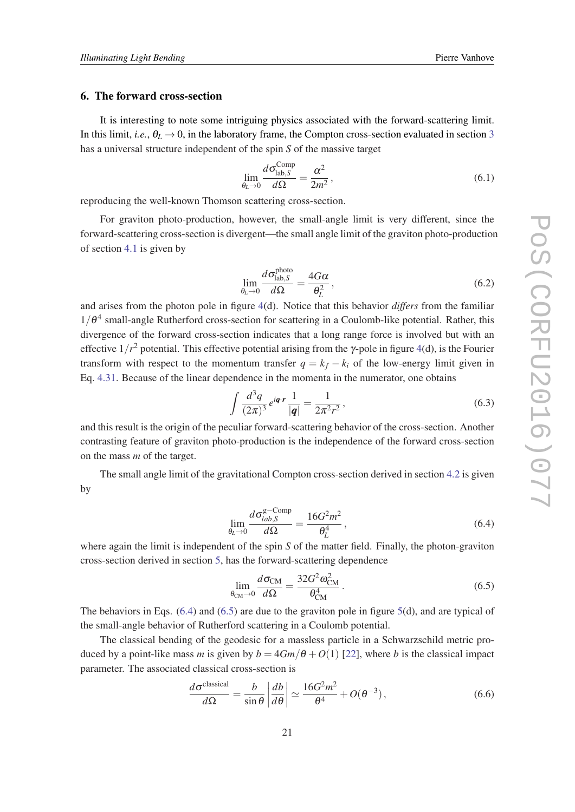## <span id="page-20-0"></span>6. The forward cross-section

It is interesting to note some intriguing physics associated with the forward-scattering limit. In this limit, *i.e.*,  $\theta_L \rightarrow 0$ , in the laboratory frame, the Compton cross-section evaluated in section [3](#page-4-0) has a universal structure independent of the spin *S* of the massive target

$$
\lim_{\theta_L \to 0} \frac{d\sigma_{\text{lab},S}^{\text{Comp}}}{d\Omega} = \frac{\alpha^2}{2m^2},\tag{6.1}
$$

reproducing the well-known Thomson scattering cross-section.

For graviton photo-production, however, the small-angle limit is very different, since the forward-scattering cross-section is divergent—the small angle limit of the graviton photo-production of section [4.1](#page-12-0) is given by

$$
\lim_{\theta_L \to 0} \frac{d\sigma_{\text{lab},S}^{\text{photo}}}{d\Omega} = \frac{4G\alpha}{\theta_L^2},\tag{6.2}
$$

and arises from the photon pole in figure [4](#page-12-0)(d). Notice that this behavior *differs* from the familiar  $1/\theta^4$  small-angle Rutherford cross-section for scattering in a Coulomb-like potential. Rather, this divergence of the forward cross-section indicates that a long range force is involved but with an effective  $1/r^2$  potential. This effective potential arising from the  $\gamma$ -pole in figure [4\(](#page-12-0)d), is the Fourier transform with respect to the momentum transfer  $q = k_f - k_i$  of the low-energy limit given in Eq. [4.31](#page-14-0). Because of the linear dependence in the momenta in the numerator, one obtains

$$
\int \frac{d^3q}{(2\pi)^3} e^{i\mathbf{q} \cdot \mathbf{r}} \frac{1}{|\mathbf{q}|} = \frac{1}{2\pi^2 r^2},
$$
\n(6.3)

and this result is the origin of the peculiar forward-scattering behavior of the cross-section. Another contrasting feature of graviton photo-production is the independence of the forward cross-section on the mass *m* of the target.

The small angle limit of the gravitational Compton cross-section derived in section [4.2](#page-15-0) is given by

$$
\lim_{\theta_L \to 0} \frac{d\sigma_{lab,S}^{\text{g-Comp}}}{d\Omega} = \frac{16G^2m^2}{\theta_L^4},\tag{6.4}
$$

where again the limit is independent of the spin *S* of the matter field. Finally, the photon-graviton cross-section derived in section [5](#page-18-0), has the forward-scattering dependence

$$
\lim_{\theta_{\rm CM}\to 0} \frac{d\sigma_{\rm CM}}{d\Omega} = \frac{32G^2 \omega_{\rm CM}^2}{\theta_{\rm CM}^4} \,. \tag{6.5}
$$

The behaviors in Eqs. (6.4) and (6.5) are due to the graviton pole in figure [5](#page-15-0)(d), and are typical of the small-angle behavior of Rutherford scattering in a Coulomb potential.

The classical bending of the geodesic for a massless particle in a Schwarzschild metric produced by a point-like mass *m* is given by  $b = 4Gm/\theta + O(1)$  [[22\]](#page-34-0), where *b* is the classical impact parameter. The associated classical cross-section is

$$
\frac{d\sigma^{\text{classical}}}{d\Omega} = \frac{b}{\sin\theta} \left| \frac{db}{d\theta} \right| \simeq \frac{16G^2m^2}{\theta^4} + O(\theta^{-3}),\tag{6.6}
$$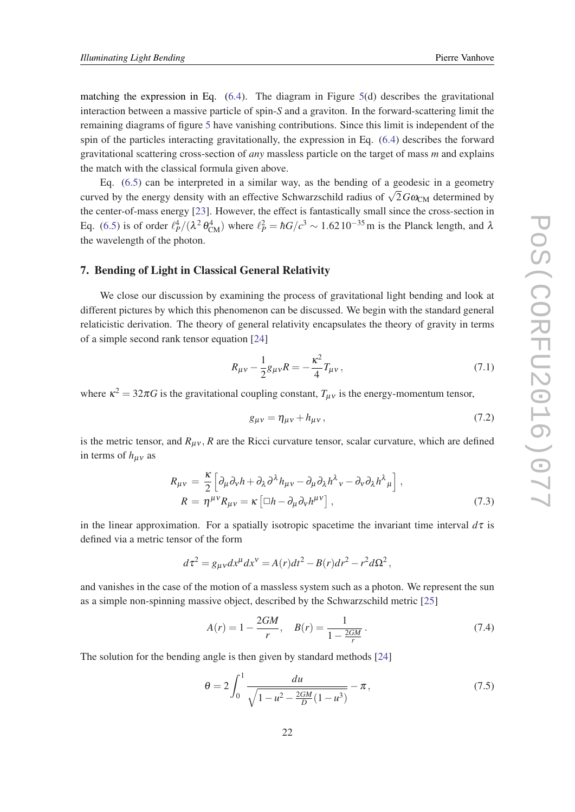<span id="page-21-0"></span>matching the expression in Eq.  $(6.4)$  $(6.4)$ . The diagram in Figure [5](#page-15-0)(d) describes the gravitational interaction between a massive particle of spin-*S* and a graviton. In the forward-scattering limit the remaining diagrams of figure [5](#page-15-0) have vanishing contributions. Since this limit is independent of the spin of the particles interacting gravitationally, the expression in Eq. [\(6.4\)](#page-20-0) describes the forward gravitational scattering cross-section of *any* massless particle on the target of mass *m* and explains the match with the classical formula given above.

Eq. [\(6.5](#page-20-0)) can be interpreted in a similar way, as the bending of a geodesic in a geometry curved by the energy density with an effective Schwarzschild radius of  $\sqrt{2}G\omega_{CM}$  determined by the center-of-mass energy [\[23](#page-34-0)]. However, the effect is fantastically small since the cross-section in Eq. [\(6.5\)](#page-20-0) is of order  $\ell_P^4/(\lambda^2 \theta_{CM}^4)$  where  $\ell_P^2 = \hbar G/c^3 \sim 1.62 \, 10^{-35} \,\text{m}$  is the Planck length, and  $\lambda$ the wavelength of the photon.

#### 7. Bending of Light in Classical General Relativity

We close our discussion by examining the process of gravitational light bending and look at different pictures by which this phenomenon can be discussed. We begin with the standard general relaticistic derivation. The theory of general relativity encapsulates the theory of gravity in terms of a simple second rank tensor equation [[24\]](#page-34-0)

$$
R_{\mu\nu} - \frac{1}{2}g_{\mu\nu}R = -\frac{\kappa^2}{4}T_{\mu\nu},\tag{7.1}
$$

where  $\kappa^2 = 32\pi G$  is the gravitational coupling constant,  $T_{\mu\nu}$  is the energy-momentum tensor,

$$
g_{\mu\nu} = \eta_{\mu\nu} + h_{\mu\nu},\tag{7.2}
$$

is the metric tensor, and  $R_{\mu\nu}$ ,  $R$  are the Ricci curvature tensor, scalar curvature, which are defined in terms of  $h_{\mu\nu}$  as

$$
R_{\mu\nu} = \frac{\kappa}{2} \left[ \partial_{\mu} \partial_{\nu} h + \partial_{\lambda} \partial^{\lambda} h_{\mu\nu} - \partial_{\mu} \partial_{\lambda} h^{\lambda}{}_{\nu} - \partial_{\nu} \partial_{\lambda} h^{\lambda}{}_{\mu} \right],
$$
  
\n
$$
R = \eta^{\mu\nu} R_{\mu\nu} = \kappa \left[ \Box h - \partial_{\mu} \partial_{\nu} h^{\mu\nu} \right],
$$
\n(7.3)

in the linear approximation. For a spatially isotropic spacetime the invariant time interval  $d\tau$  is defined via a metric tensor of the form

$$
d\tau^2 = g_{\mu\nu}dx^{\mu}dx^{\nu} = A(r)dt^2 - B(r)dr^2 - r^2d\Omega^2,
$$

and vanishes in the case of the motion of a massless system such as a photon. We represent the sun as a simple non-spinning massive object, described by the Schwarzschild metric [\[25](#page-34-0)]

$$
A(r) = 1 - \frac{2GM}{r}, \quad B(r) = \frac{1}{1 - \frac{2GM}{r}}.
$$
\n(7.4)

The solution for the bending angle is then given by standard methods [\[24](#page-34-0)]

$$
\theta = 2 \int_0^1 \frac{du}{\sqrt{1 - u^2 - \frac{2GM}{D}(1 - u^3)}} - \pi,
$$
\n(7.5)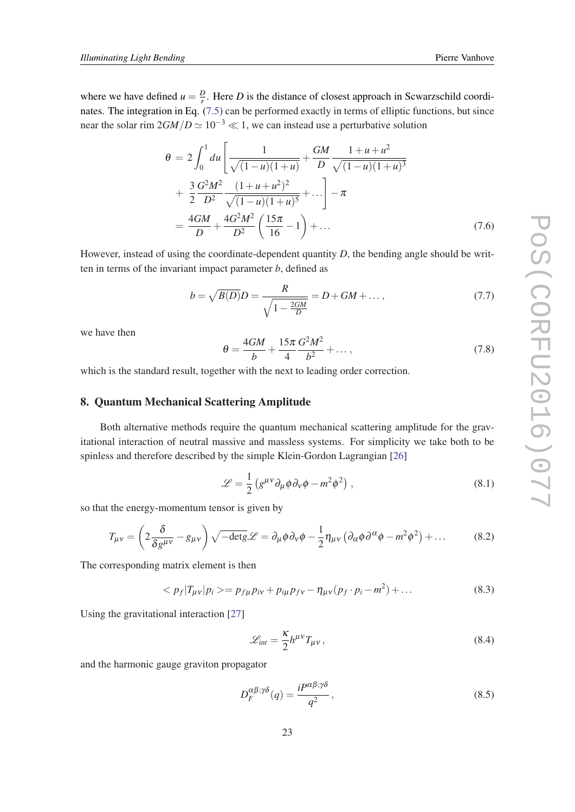$$
\theta = 2 \int_0^1 du \left[ \frac{1}{\sqrt{(1-u)(1+u)}} + \frac{GM}{D} \frac{1+u+u^2}{\sqrt{(1-u)(1+u)^3}} + \frac{3}{2} \frac{G^2 M^2}{D^2} \frac{(1+u+u^2)^2}{\sqrt{(1-u)(1+u)^5}} + \dots \right] - \pi
$$
  
=  $\frac{4GM}{D} + \frac{4G^2 M^2}{D^2} \left( \frac{15\pi}{16} - 1 \right) + \dots$  (7.6)

However, instead of using the coordinate-dependent quantity *D*, the bending angle should be written in terms of the invariant impact parameter *b*, defined as

$$
b = \sqrt{B(D)}D = \frac{R}{\sqrt{1 - \frac{2GM}{D}}} = D + GM + ..., \qquad (7.7)
$$

we have then

$$
\theta = \frac{4GM}{b} + \frac{15\pi}{4} \frac{G^2 M^2}{b^2} + \dots,\tag{7.8}
$$

which is the standard result, together with the next to leading order correction.

## 8. Quantum Mechanical Scattering Amplitude

Both alternative methods require the quantum mechanical scattering amplitude for the gravitational interaction of neutral massive and massless systems. For simplicity we take both to be spinless and therefore described by the simple Klein-Gordon Lagrangian [\[26](#page-34-0)]

$$
\mathcal{L} = \frac{1}{2} \left( g^{\mu \nu} \partial_{\mu} \phi \partial_{\nu} \phi - m^2 \phi^2 \right), \qquad (8.1)
$$

so that the energy-momentum tensor is given by

$$
T_{\mu\nu} = \left(2\frac{\delta}{\delta g^{\mu\nu}} - g_{\mu\nu}\right)\sqrt{-\det g}\mathscr{L} = \partial_{\mu}\phi\partial_{\nu}\phi - \frac{1}{2}\eta_{\mu\nu}\left(\partial_{\alpha}\phi\partial^{\alpha}\phi - m^2\phi^2\right) + \dots \tag{8.2}
$$

The corresponding matrix element is then

$$
\langle p_f | T_{\mu\nu} | p_i \rangle = p_{f\mu} p_{i\nu} + p_{i\mu} p_{f\nu} - \eta_{\mu\nu} (p_f \cdot p_i - m^2) + \dots \tag{8.3}
$$

Using the gravitational interaction [[27\]](#page-34-0)

$$
\mathcal{L}_{int} = \frac{\kappa}{2} h^{\mu\nu} T_{\mu\nu},\qquad(8.4)
$$

and the harmonic gauge graviton propagator

$$
D_F^{\alpha\beta;\gamma\delta}(q) = \frac{i P^{\alpha\beta;\gamma\delta}}{q^2},\tag{8.5}
$$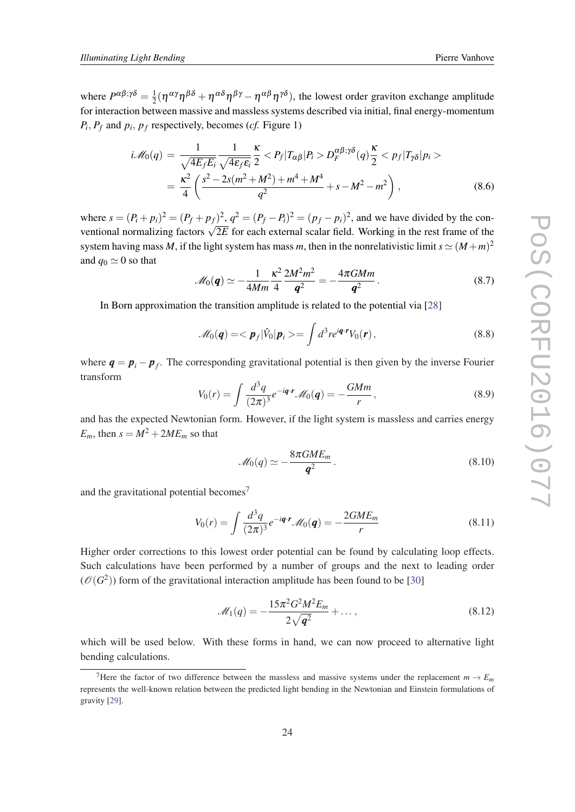where  $P^{\alpha\beta;\gamma\delta} = \frac{1}{2}$  $\frac{1}{2}(\eta^{\alpha\gamma}\eta^{\beta\delta}+\eta^{\alpha\delta}\eta^{\beta\gamma}-\eta^{\alpha\beta}\eta^{\gamma\delta})$ , the lowest order graviton exchange amplitude for interaction between massive and massless systems described via initial, final energy-momentum  $P_i$ ,  $P_f$  and  $p_i$ ,  $p_f$  respectively, becomes (*cf.* Figure 1)

$$
i\mathcal{M}_0(q) = \frac{1}{\sqrt{4E_fE_i}} \frac{1}{\sqrt{4\epsilon_f\varepsilon_i}} \frac{\kappa}{2} < P_f|T_{\alpha\beta}|P_i > D_F^{\alpha\beta;\gamma\delta}(q) \frac{\kappa}{2} < p_f|T_{\gamma\delta}|p_i>
$$
  
= 
$$
\frac{\kappa^2}{4} \left( \frac{s^2 - 2s(m^2 + M^2) + m^4 + M^4}{q^2} + s - M^2 - m^2 \right),
$$
 (8.6)

where  $s = (P_i + p_i)^2 = (P_f + p_f)^2$ ,  $q^2 = (P_f - P_i)^2 = (p_f - p_i)^2$ , and we have divided by the conventional normalizing factors  $\sqrt{2E}$  for each external scalar field. Working in the rest frame of the system having mass *M*, if the light system has mass *m*, then in the nonrelativistic limit  $s \simeq (M+m)^2$ and  $q_0 \simeq 0$  so that

$$
\mathcal{M}_0(\boldsymbol{q}) \simeq -\frac{1}{4Mm} \frac{\kappa^2}{4} \frac{2M^2 m^2}{\boldsymbol{q}^2} = -\frac{4\pi GMm}{\boldsymbol{q}^2} \,. \tag{8.7}
$$

In Born approximation the transition amplitude is related to the potential via [\[28\]](#page-34-0)

$$
\mathscr{M}_0(\boldsymbol{q}) = \langle \boldsymbol{p}_f | \hat{V}_0 | \boldsymbol{p}_i \rangle = \int d^3 r e^{i \boldsymbol{q} \cdot \boldsymbol{r}} V_0(\boldsymbol{r}), \qquad (8.8)
$$

where  $q = p_i - p_f$ . The corresponding gravitational potential is then given by the inverse Fourier transform

$$
V_0(r) = \int \frac{d^3q}{(2\pi)^3} e^{-i\mathbf{q} \cdot \mathbf{r}} \mathcal{M}_0(\mathbf{q}) = -\frac{GMm}{r},
$$
\n(8.9)

and has the expected Newtonian form. However, if the light system is massless and carries energy  $E_m$ , then  $s = M^2 + 2ME_m$  so that

$$
\mathcal{M}_0(q) \simeq -\frac{8\pi GME_m}{q^2} \,. \tag{8.10}
$$

and the gravitational potential becomes<sup>7</sup>

$$
V_0(r) = \int \frac{d^3q}{(2\pi)^3} e^{-i\mathbf{q} \cdot \mathbf{r}} \mathcal{M}_0(\mathbf{q}) = -\frac{2GME_m}{r}
$$
(8.11)

Higher order corrections to this lowest order potential can be found by calculating loop effects. Such calculations have been performed by a number of groups and the next to leading order  $(\mathcal{O}(G^2))$  form of the gravitational interaction amplitude has been found to be [[30\]](#page-34-0)

$$
\mathcal{M}_1(q) = -\frac{15\pi^2 G^2 M^2 E_m}{2\sqrt{q^2}} + \dots,\tag{8.12}
$$

which will be used below. With these forms in hand, we can now proceed to alternative light bending calculations.

<sup>&</sup>lt;sup>7</sup>Here the factor of two difference between the massless and massive systems under the replacement  $m \to E_m$ represents the well-known relation between the predicted light bending in the Newtonian and Einstein formulations of gravity [[29\]](#page-34-0).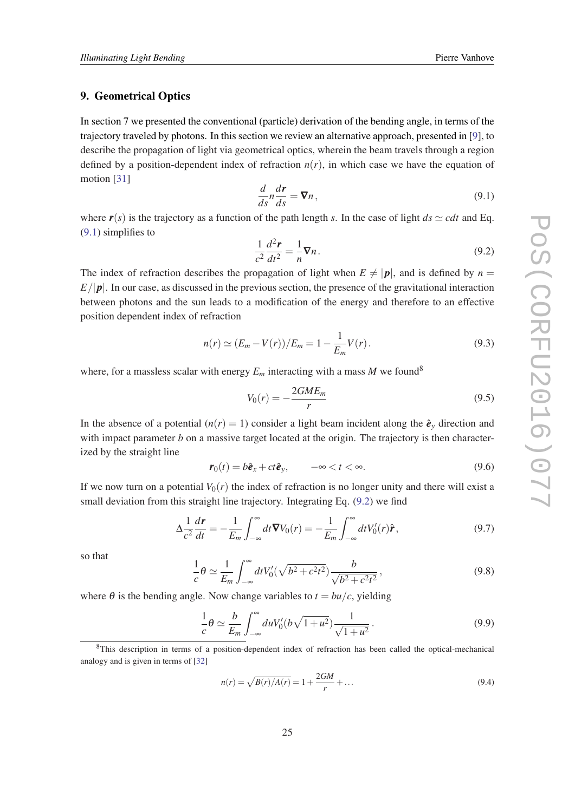### 9. Geometrical Optics

In section 7 we presented the conventional (particle) derivation of the bending angle, in terms of the trajectory traveled by photons. In this section we review an alternative approach, presented in [\[9\]](#page-33-0), to describe the propagation of light via geometrical optics, wherein the beam travels through a region defined by a position-dependent index of refraction  $n(r)$ , in which case we have the equation of motion [[31\]](#page-34-0)

$$
\frac{d}{ds}n\frac{dr}{ds} = \nabla n,\tag{9.1}
$$

where  $r(s)$  is the trajectory as a function of the path length *s*. In the case of light  $ds \simeq cdt$  and Eq. (9.1) simplifies to

$$
\frac{1}{c^2}\frac{d^2\mathbf{r}}{dt^2} = -\frac{1}{n}\nabla n.
$$
\n(9.2)

The index of refraction describes the propagation of light when  $E \neq |p|$ , and is defined by  $n =$  $E/|\mathbf{p}|$ . In our case, as discussed in the previous section, the presence of the gravitational interaction between photons and the sun leads to a modification of the energy and therefore to an effective position dependent index of refraction

$$
n(r) \simeq (E_m - V(r))/E_m = 1 - \frac{1}{E_m}V(r).
$$
\n(9.3)

where, for a massless scalar with energy  $E_m$  interacting with a mass M we found<sup>8</sup>

$$
V_0(r) = -\frac{2GME_m}{r}
$$
\n
$$
(9.5)
$$

In the absence of a potential  $(n(r) = 1)$  consider a light beam incident along the  $\hat{e}_\nu$  direction and with impact parameter  $b$  on a massive target located at the origin. The trajectory is then characterized by the straight line

$$
\mathbf{r}_0(t) = b\hat{\mathbf{e}}_x + ct\hat{\mathbf{e}}_y, \qquad -\infty < t < \infty.
$$
 (9.6)

If we now turn on a potential  $V_0(r)$  the index of refraction is no longer unity and there will exist a small deviation from this straight line trajectory. Integrating Eq. (9.2) we find

$$
\Delta \frac{1}{c^2} \frac{d\mathbf{r}}{dt} = -\frac{1}{E_m} \int_{-\infty}^{\infty} dt \nabla V_0(r) = -\frac{1}{E_m} \int_{-\infty}^{\infty} dt V'_0(r) \hat{\mathbf{r}}, \qquad (9.7)
$$

so that

$$
\frac{1}{c}\theta \simeq \frac{1}{E_m} \int_{-\infty}^{\infty} dt V_0'(\sqrt{b^2 + c^2 t^2}) \frac{b}{\sqrt{b^2 + c^2 t^2}},\tag{9.8}
$$

where  $\theta$  is the bending angle. Now change variables to  $t = bu/c$ , yielding

$$
\frac{1}{c}\theta \simeq \frac{b}{E_m} \int_{-\infty}^{\infty} du V_0'(b\sqrt{1+u^2}) \frac{1}{\sqrt{1+u^2}}.
$$
\n(9.9)

<sup>8</sup>This description in terms of a position-dependent index of refraction has been called the optical-mechanical analogy and is given in terms of [\[32](#page-34-0)]

$$
n(r) = \sqrt{B(r)/A(r)} = 1 + \frac{2GM}{r} + \dots
$$
\n(9.4)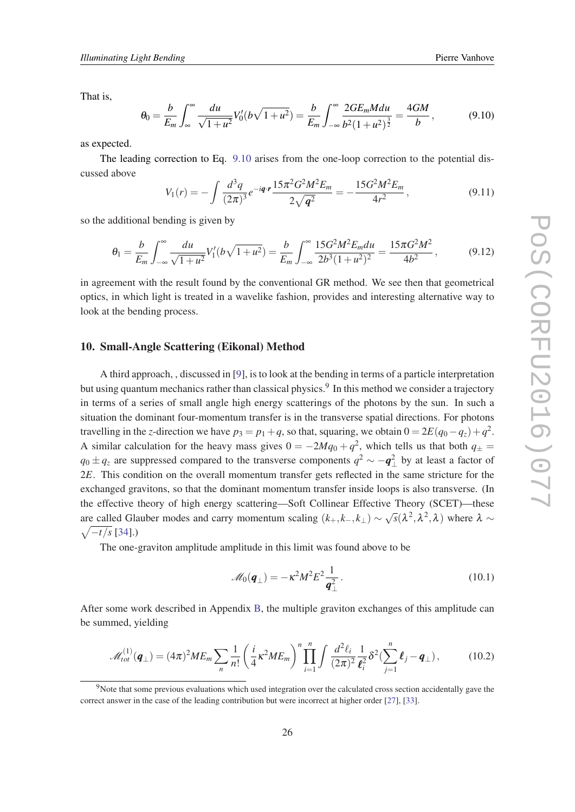That is,

$$
\theta_0 = \frac{b}{E_m} \int_{\infty}^{\infty} \frac{du}{\sqrt{1+u^2}} V_0'(b\sqrt{1+u^2}) = \frac{b}{E_m} \int_{-\infty}^{\infty} \frac{2GE_m M du}{b^2 (1+u^2)^{\frac{3}{2}}} = \frac{4GM}{b},\tag{9.10}
$$

as expected.

The leading correction to Eq. 9.10 arises from the one-loop correction to the potential discussed above

$$
V_1(r) = -\int \frac{d^3q}{(2\pi)^3} e^{-i\mathbf{q} \cdot \mathbf{r}} \frac{15\pi^2 G^2 M^2 E_m}{2\sqrt{\mathbf{q}^2}} = -\frac{15G^2 M^2 E_m}{4r^2},
$$
(9.11)

so the additional bending is given by

$$
\theta_1 = \frac{b}{E_m} \int_{-\infty}^{\infty} \frac{du}{\sqrt{1+u^2}} V_1'(b\sqrt{1+u^2}) = \frac{b}{E_m} \int_{-\infty}^{\infty} \frac{15G^2 M^2 E_m du}{2b^3 (1+u^2)^2} = \frac{15\pi G^2 M^2}{4b^2},\tag{9.12}
$$

in agreement with the result found by the conventional GR method. We see then that geometrical optics, in which light is treated in a wavelike fashion, provides and interesting alternative way to look at the bending process.

# 10. Small-Angle Scattering (Eikonal) Method

A third approach, , discussed in [[9](#page-33-0)], is to look at the bending in terms of a particle interpretation but using quantum mechanics rather than classical physics.<sup>9</sup> In this method we consider a trajectory in terms of a series of small angle high energy scatterings of the photons by the sun. In such a situation the dominant four-momentum transfer is in the transverse spatial directions. For photons travelling in the *z*-direction we have  $p_3 = p_1 + q$ , so that, squaring, we obtain  $0 = 2E(q_0 - q_z) + q^2$ . A similar calculation for the heavy mass gives  $0 = -2Mq_0 + q^2$ , which tells us that both  $q_{\pm} =$ *q*<sub>0</sub> ± *q*<sub>z</sub> are suppressed compared to the transverse components *q*<sup>2</sup> ∼ −*q*<sup>2</sup><sub>⊥</sub> by at least a factor of  $2E$ . This condition on the overall momentum transfer gets reflected in the same stricture for the exchanged gravitons, so that the dominant momentum transfer inside loops is also transverse. (In the effective theory of high energy scattering—Soft Collinear Effective Theory (SCET)—these are called Glauber modes and carry momentum scaling  $(k_+, k_-, k_\perp) \sim \sqrt{s}(\lambda^2, \lambda^2, \lambda)$  where  $\lambda \sim \sqrt{-t/s}$  [34].)  $\sqrt{-t/s}$  [\[34](#page-34-0)].)

The one-graviton amplitude amplitude in this limit was found above to be

$$
\mathscr{M}_0(\boldsymbol{q}_\perp) = -\kappa^2 M^2 E^2 \frac{1}{\boldsymbol{q}_\perp^2} \,. \tag{10.1}
$$

After some work described in Appendix [B](#page-29-0), the multiple graviton exchanges of this amplitude can be summed, yielding

$$
\mathcal{M}_{tot}^{(1)}(\mathbf{q}_{\perp}) = (4\pi)^2 M E_m \sum_{n} \frac{1}{n!} \left(\frac{i}{4} \kappa^2 M E_m\right)^n \prod_{i=1}^n \int \frac{d^2 \ell_i}{(2\pi)^2} \frac{1}{\ell_i^2} \delta^2 \left(\sum_{j=1}^n \ell_j - \mathbf{q}_{\perp}\right),\tag{10.2}
$$

<sup>9</sup>Note that some previous evaluations which used integration over the calculated cross section accidentally gave the correct answer in the case of the leading contribution but were incorrect at higher order [[27\]](#page-34-0), [\[33](#page-34-0)].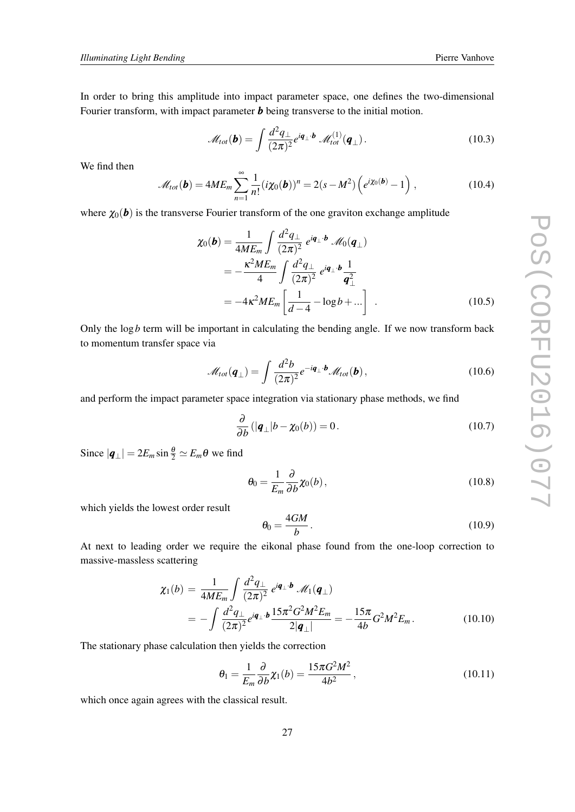In order to bring this amplitude into impact parameter space, one defines the two-dimensional Fourier transform, with impact parameter *b* being transverse to the initial motion.

$$
\mathscr{M}_{tot}(\boldsymbol{b}) = \int \frac{d^2 q_{\perp}}{(2\pi)^2} e^{i\boldsymbol{q}_{\perp} \cdot \boldsymbol{b}} \mathscr{M}_{tot}^{(1)}(\boldsymbol{q}_{\perp}). \qquad (10.3)
$$

We find then

$$
\mathscr{M}_{tot}(\boldsymbol{b}) = 4ME_m \sum_{n=1}^{\infty} \frac{1}{n!} (i\chi_0(\boldsymbol{b}))^n = 2(s - M^2) \left( e^{i\chi_0(\boldsymbol{b})} - 1 \right), \qquad (10.4)
$$

where  $\chi_0(\boldsymbol{b})$  is the transverse Fourier transform of the one graviton exchange amplitude

$$
\chi_0(\mathbf{b}) = \frac{1}{4ME_m} \int \frac{d^2 q_{\perp}}{(2\pi)^2} e^{i\mathbf{q}_{\perp} \cdot \mathbf{b}} \mathcal{M}_0(\mathbf{q}_{\perp})
$$
  
= 
$$
-\frac{\kappa^2 ME_m}{4} \int \frac{d^2 q_{\perp}}{(2\pi)^2} e^{i\mathbf{q}_{\perp} \cdot \mathbf{b}} \frac{1}{\mathbf{q}_{\perp}^2}
$$
  
= 
$$
-4\kappa^2 ME_m \left[ \frac{1}{d-4} - \log b + \ldots \right] .
$$
 (10.5)

Only the log*b* term will be important in calculating the bending angle. If we now transform back to momentum transfer space via

$$
\mathcal{M}_{tot}(\boldsymbol{q}_{\perp}) = \int \frac{d^2b}{(2\pi)^2} e^{-i\boldsymbol{q}_{\perp} \cdot \boldsymbol{b}} \mathcal{M}_{tot}(\boldsymbol{b}), \qquad (10.6)
$$

and perform the impact parameter space integration via stationary phase methods, we find

$$
\frac{\partial}{\partial b} \left( |\boldsymbol{q}_{\perp}| b - \chi_0(b) \right) = 0. \tag{10.7}
$$

Since  $|\boldsymbol{q}_{\perp}| = 2E_m \sin \frac{\theta}{2} \simeq E_m \theta$  we find

$$
\theta_0 = \frac{1}{E_m} \frac{\partial}{\partial b} \chi_0(b), \qquad (10.8)
$$

which yields the lowest order result

$$
\theta_0 = \frac{4GM}{b}.\tag{10.9}
$$

At next to leading order we require the eikonal phase found from the one-loop correction to massive-massless scattering

$$
\chi_1(b) = \frac{1}{4ME_m} \int \frac{d^2 q_\perp}{(2\pi)^2} e^{i\mathbf{q}_\perp \cdot \mathbf{b}} \mathcal{M}_1(\mathbf{q}_\perp)
$$
  
= 
$$
- \int \frac{d^2 q_\perp}{(2\pi)^2} e^{i\mathbf{q}_\perp \cdot \mathbf{b}} \frac{15\pi^2 G^2 M^2 E_m}{2|\mathbf{q}_\perp|} = -\frac{15\pi}{4b} G^2 M^2 E_m.
$$
 (10.10)

The stationary phase calculation then yields the correction

$$
\theta_1 = \frac{1}{E_m} \frac{\partial}{\partial b} \chi_1(b) = \frac{15\pi G^2 M^2}{4b^2},\qquad(10.11)
$$

which once again agrees with the classical result.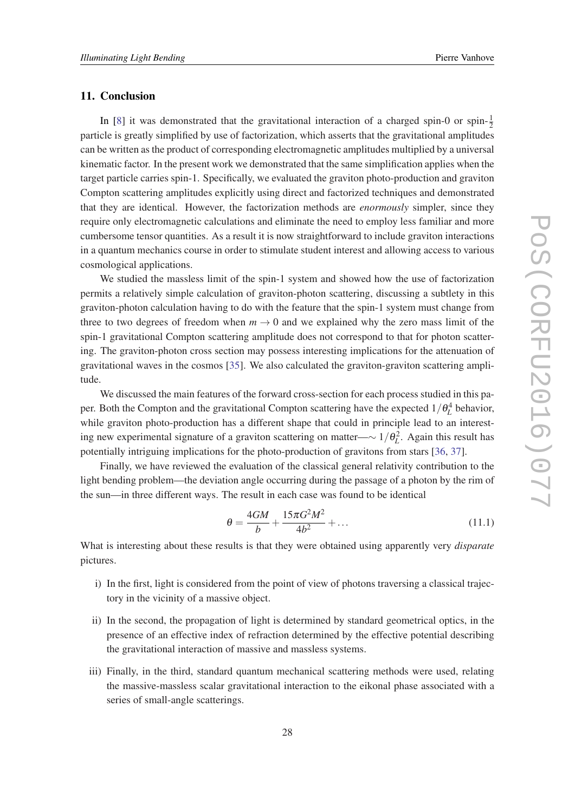#### 11. Conclusion

In [[8](#page-33-0)] it was demonstrated that the gravitational interaction of a charged spin-0 or spin- $\frac{1}{2}$ particle is greatly simplified by use of factorization, which asserts that the gravitational amplitudes can be written as the product of corresponding electromagnetic amplitudes multiplied by a universal kinematic factor. In the present work we demonstrated that the same simplification applies when the target particle carries spin-1. Specifically, we evaluated the graviton photo-production and graviton Compton scattering amplitudes explicitly using direct and factorized techniques and demonstrated that they are identical. However, the factorization methods are *enormously* simpler, since they require only electromagnetic calculations and eliminate the need to employ less familiar and more cumbersome tensor quantities. As a result it is now straightforward to include graviton interactions in a quantum mechanics course in order to stimulate student interest and allowing access to various cosmological applications.

We studied the massless limit of the spin-1 system and showed how the use of factorization permits a relatively simple calculation of graviton-photon scattering, discussing a subtlety in this graviton-photon calculation having to do with the feature that the spin-1 system must change from three to two degrees of freedom when  $m \to 0$  and we explained why the zero mass limit of the spin-1 gravitational Compton scattering amplitude does not correspond to that for photon scattering. The graviton-photon cross section may possess interesting implications for the attenuation of gravitational waves in the cosmos [[35](#page-34-0)]. We also calculated the graviton-graviton scattering amplitude.

We discussed the main features of the forward cross-section for each process studied in this paper. Both the Compton and the gravitational Compton scattering have the expected  $1/\theta_L^4$  behavior, while graviton photo-production has a different shape that could in principle lead to an interesting new experimental signature of a graviton scattering on matter—∼ 1/θ 2 *L* . Again this result has potentially intriguing implications for the photo-production of gravitons from stars [\[36](#page-34-0), [37\]](#page-34-0).

Finally, we have reviewed the evaluation of the classical general relativity contribution to the light bending problem—the deviation angle occurring during the passage of a photon by the rim of the sun—in three different ways. The result in each case was found to be identical

$$
\theta = \frac{4GM}{b} + \frac{15\pi G^2 M^2}{4b^2} + \dots
$$
\n(11.1)

What is interesting about these results is that they were obtained using apparently very *disparate* pictures.

- i) In the first, light is considered from the point of view of photons traversing a classical trajectory in the vicinity of a massive object.
- ii) In the second, the propagation of light is determined by standard geometrical optics, in the presence of an effective index of refraction determined by the effective potential describing the gravitational interaction of massive and massless systems.
- iii) Finally, in the third, standard quantum mechanical scattering methods were used, relating the massive-massless scalar gravitational interaction to the eikonal phase associated with a series of small-angle scatterings.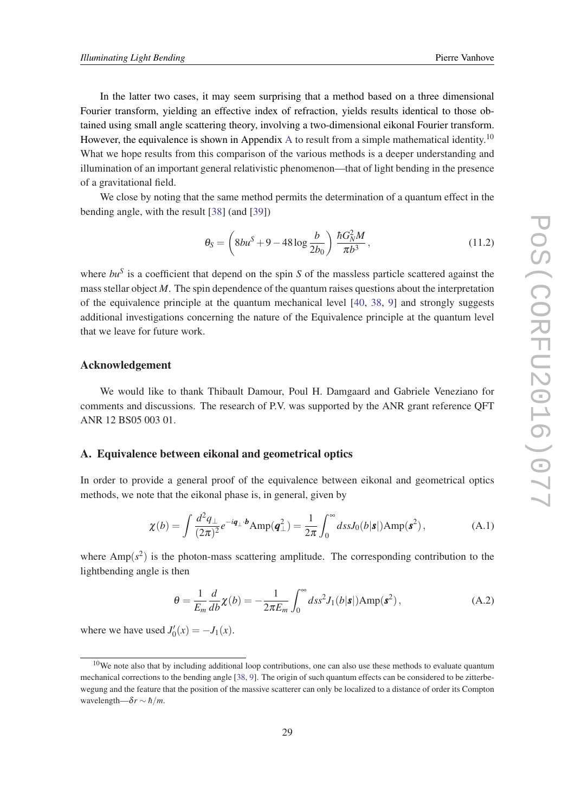In the latter two cases, it may seem surprising that a method based on a three dimensional Fourier transform, yielding an effective index of refraction, yields results identical to those obtained using small angle scattering theory, involving a two-dimensional eikonal Fourier transform. However, the equivalence is shown in Appendix A to result from a simple mathematical identity.<sup>10</sup> What we hope results from this comparison of the various methods is a deeper understanding and illumination of an important general relativistic phenomenon—that of light bending in the presence of a gravitational field.

We close by noting that the same method permits the determination of a quantum effect in the bending angle, with the result [\[38\]](#page-34-0) (and [\[39](#page-34-0)])

$$
\theta_{S} = \left(8bu^{S} + 9 - 48\log\frac{b}{2b_{0}}\right) \frac{\hbar G_{N}^{2}M}{\pi b^{3}},
$$
\n(11.2)

where *bu<sup>S</sup>* is a coefficient that depend on the spin *S* of the massless particle scattered against the mass stellar object *M*. The spin dependence of the quantum raises questions about the interpretation of the equivalence principle at the quantum mechanical level [[40](#page-34-0), [38](#page-34-0), [9](#page-33-0)] and strongly suggests additional investigations concerning the nature of the Equivalence principle at the quantum level that we leave for future work.

#### Acknowledgement

We would like to thank Thibault Damour, Poul H. Damgaard and Gabriele Veneziano for comments and discussions. The research of P.V. was supported by the ANR grant reference QFT ANR 12 BS05 003 01.

#### A. Equivalence between eikonal and geometrical optics

In order to provide a general proof of the equivalence between eikonal and geometrical optics methods, we note that the eikonal phase is, in general, given by

$$
\chi(b) = \int \frac{d^2 q_\perp}{(2\pi)^2} e^{-i\mathbf{q}_\perp \cdot \mathbf{b}} \text{Amp}(\mathbf{q}_\perp^2) = \frac{1}{2\pi} \int_0^\infty ds s J_0(b|\mathbf{s}|) \text{Amp}(\mathbf{s}^2), \tag{A.1}
$$

where  $Amp(s^2)$  is the photon-mass scattering amplitude. The corresponding contribution to the lightbending angle is then

$$
\theta = \frac{1}{E_m} \frac{d}{db} \chi(b) = -\frac{1}{2\pi E_m} \int_0^\infty ds s^2 J_1(b|\mathbf{s}|) \text{Amp}(\mathbf{s}^2), \tag{A.2}
$$

where we have used  $J'_0(x) = -J_1(x)$ .

 $10$ We note also that by including additional loop contributions, one can also use these methods to evaluate quantum mechanical corrections to the bending angle [\[38](#page-34-0), [9\]](#page-33-0). The origin of such quantum effects can be considered to be zitterbewegung and the feature that the position of the massive scatterer can only be localized to a distance of order its Compton wavelength— $\delta r \sim \hbar/m$ .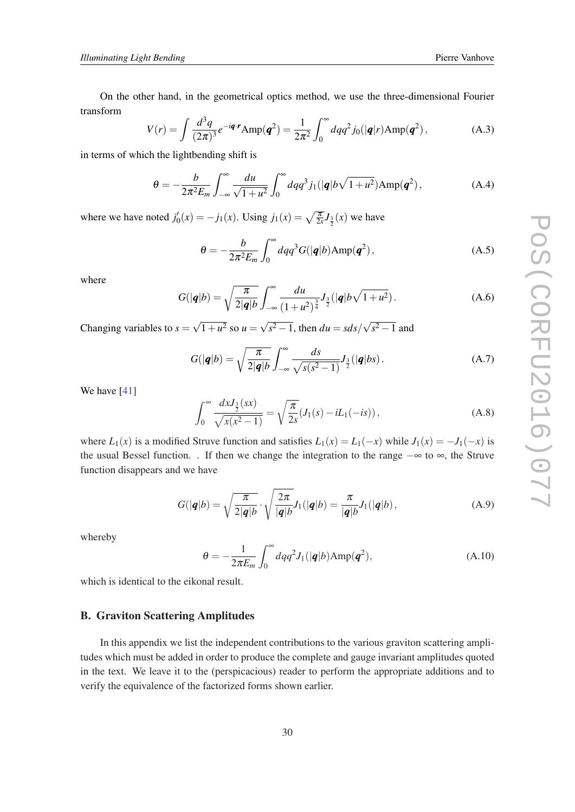<span id="page-29-0"></span>On the other hand, in the geometrical optics method, we use the three-dimensional Fourier transform

$$
V(r) = \int \frac{d^3q}{(2\pi)^3} e^{-i\mathbf{q} \cdot \mathbf{r}} \text{Amp}(\mathbf{q}^2) = \frac{1}{2\pi^2} \int_0^\infty dq q^2 j_0(|\mathbf{q}|r) \text{Amp}(\mathbf{q}^2), \tag{A.3}
$$

in terms of which the lightbending shift is

$$
\theta = -\frac{b}{2\pi^2 E_m} \int_{-\infty}^{\infty} \frac{du}{\sqrt{1+u^2}} \int_0^{\infty} dq q^3 j_1(|\mathbf{q}|b\sqrt{1+u^2}) \text{Amp}(\mathbf{q}^2), \tag{A.4}
$$

where we have noted  $j'_0(x) = -j_1(x)$ . Using  $j_1(x) = \sqrt{\frac{\pi}{2x}} J_{\frac{3}{2}}(x)$  we have

$$
\theta = -\frac{b}{2\pi^2 E_m} \int_0^\infty dq q^3 G(|\mathbf{q}|b) \text{Amp}(\mathbf{q}^2), \tag{A.5}
$$

where

$$
G(|q|b) = \sqrt{\frac{\pi}{2|q|b}} \int_{-\infty}^{\infty} \frac{du}{(1+u^2)^{\frac{3}{4}}} J_{\frac{3}{2}}(|q|b\sqrt{1+u^2}).
$$
 (A.6)

Changing variables to  $s = \sqrt{1 + u^2}$  so  $u = \sqrt{s^2 - 1}$ , then  $du = s ds / \sqrt{s^2 - 1}$  and

$$
G(|q|b) = \sqrt{\frac{\pi}{2|q|b}} \int_{-\infty}^{\infty} \frac{ds}{\sqrt{s(s^2 - 1)}} J_{\frac{3}{2}}(|q|bs).
$$
 (A.7)

We have [[41\]](#page-34-0)

$$
\int_0^\infty \frac{dx J_{\frac{3}{2}}(sx)}{\sqrt{x(x^2 - 1)}} = \sqrt{\frac{\pi}{2s}} (J_1(s) - iL_1(-is)),
$$
\n(A.8)

where  $L_1(x)$  is a modified Struve function and satisfies  $L_1(x) = L_1(-x)$  while  $J_1(x) = -J_1(-x)$  is the usual Bessel function. . If then we change the integration to the range −∞ to ∞, the Struve function disappears and we have

$$
G(|q|b) = \sqrt{\frac{\pi}{2|q|b}} \cdot \sqrt{\frac{2\pi}{|q|b}} J_1(|q|b) = \frac{\pi}{|q|b} J_1(|q|b), \qquad (A.9)
$$

whereby

$$
\theta = -\frac{1}{2\pi E_m} \int_0^\infty dq q^2 J_1(|\mathbf{q}|b) \text{Amp}(\mathbf{q}^2), \tag{A.10}
$$

which is identical to the eikonal result.

## B. Graviton Scattering Amplitudes

In this appendix we list the independent contributions to the various graviton scattering amplitudes which must be added in order to produce the complete and gauge invariant amplitudes quoted in the text. We leave it to the (perspicacious) reader to perform the appropriate additions and to verify the equivalence of the factorized forms shown earlier.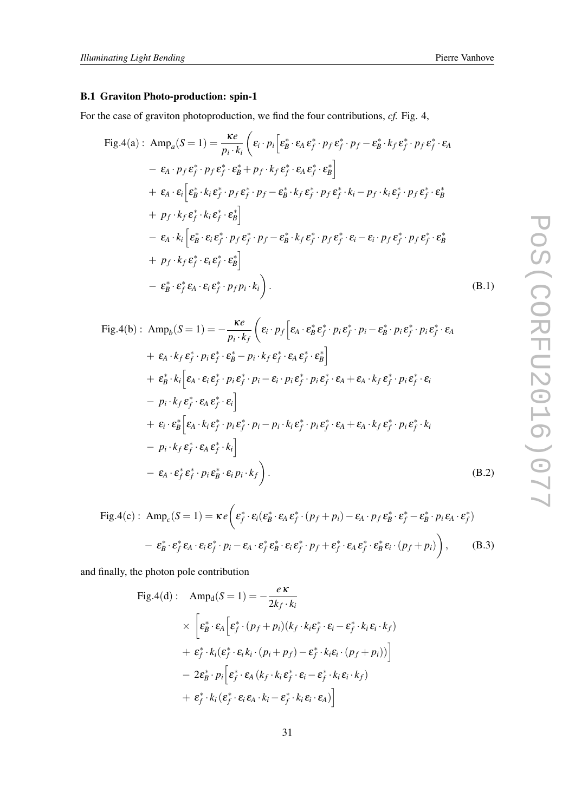# B.1 Graviton Photo-production: spin-1

For the case of graviton photoproduction, we find the four contributions, *cf.* Fig. 4,

$$
\begin{split}\n\text{Fig.4(a):} \quad & \text{Amp}_{a}(S=1) = \frac{\kappa e}{p_{i} \cdot k_{i}} \left( \varepsilon_{i} \cdot p_{i} \left[ \varepsilon_{B}^{*} \cdot \varepsilon_{A} \varepsilon_{f}^{*} \cdot p_{f} \varepsilon_{f}^{*} \cdot p_{f} - \varepsilon_{B}^{*} \cdot k_{f} \varepsilon_{f}^{*} \cdot p_{f} \varepsilon_{f}^{*} \cdot \varepsilon_{A} \right. \\
& \quad - \varepsilon_{A} \cdot p_{f} \varepsilon_{f}^{*} \cdot p_{f} \varepsilon_{f}^{*} \cdot \varepsilon_{B}^{*} + p_{f} \cdot k_{f} \varepsilon_{f}^{*} \cdot \varepsilon_{A} \varepsilon_{f}^{*} \cdot \varepsilon_{B}^{*} \right] \\
& + \varepsilon_{A} \cdot \varepsilon_{i} \left[ \varepsilon_{B}^{*} \cdot k_{i} \varepsilon_{f}^{*} \cdot p_{f} \varepsilon_{f}^{*} \cdot p_{f} - \varepsilon_{B}^{*} \cdot k_{f} \varepsilon_{f}^{*} \cdot p_{f} \varepsilon_{f}^{*} \cdot k_{i} - p_{f} \cdot k_{i} \varepsilon_{f}^{*} \cdot p_{f} \varepsilon_{f}^{*} \cdot \varepsilon_{B}^{*} \right. \\
& \quad - \varepsilon_{A} \cdot k_{i} \left[ \varepsilon_{B}^{*} \cdot \varepsilon_{i} \varepsilon_{f}^{*} \cdot p_{f} \varepsilon_{f}^{*} \cdot p_{f} - \varepsilon_{B}^{*} \cdot k_{f} \varepsilon_{f}^{*} \cdot p_{f} \varepsilon_{f}^{*} \cdot \varepsilon_{i} - \varepsilon_{i} \cdot p_{f} \varepsilon_{f}^{*} \cdot p_{f} \varepsilon_{f}^{*} \cdot \varepsilon_{B}^{*} \right. \\
& \quad + \varepsilon_{B} \cdot k_{f} \varepsilon_{f}^{*} \cdot \varepsilon_{i} \varepsilon_{f}^{*} \cdot \varepsilon_{B}^{*} \right] \\
& - \varepsilon_{B}^{*} \cdot \varepsilon_{f}^{*} \varepsilon_{A} \cdot \varepsilon_{i} \varepsilon_{f}^{*} \cdot p_{f}
$$

$$
\begin{split}\n\text{Fig.4(b)}: \ \text{Amp}_{b}(S=1) &= -\frac{\kappa e}{p_{i} \cdot k_{f}} \left( \varepsilon_{i} \cdot p_{f} \left[ \varepsilon_{A} \cdot \varepsilon_{B}^{*} \varepsilon_{f}^{*} \cdot p_{i} \varepsilon_{f}^{*} \cdot p_{i} \varepsilon_{f}^{*} \cdot p_{i} \varepsilon_{f}^{*} \cdot p_{i} \varepsilon_{f}^{*} \cdot \varepsilon_{A} \right. \\
&\quad + \varepsilon_{A} \cdot k_{f} \varepsilon_{f}^{*} \cdot p_{i} \varepsilon_{f}^{*} \cdot \varepsilon_{B}^{*} - p_{i} \cdot k_{f} \varepsilon_{f}^{*} \cdot \varepsilon_{A} \varepsilon_{f}^{*} \cdot \varepsilon_{B}^{*} \right] \\
&+ \varepsilon_{B}^{*} \cdot k_{i} \left[ \varepsilon_{A} \cdot \varepsilon_{i} \varepsilon_{f}^{*} \cdot p_{i} \varepsilon_{f}^{*} \cdot p_{i} - \varepsilon_{i} \cdot p_{i} \varepsilon_{f}^{*} \cdot p_{i} \varepsilon_{f}^{*} \cdot \varepsilon_{A} + \varepsilon_{A} \cdot k_{f} \varepsilon_{f}^{*} \cdot p_{i} \varepsilon_{f}^{*} \cdot \varepsilon_{i} \right. \\
&\quad - p_{i} \cdot k_{f} \varepsilon_{f}^{*} \cdot \varepsilon_{A} \varepsilon_{f}^{*} \cdot p_{i} \varepsilon_{f}^{*} \cdot p_{i} - p_{i} \cdot k_{i} \varepsilon_{f}^{*} \cdot p_{i} \varepsilon_{f}^{*} \cdot \varepsilon_{A} + \varepsilon_{A} \cdot k_{f} \varepsilon_{f}^{*} \cdot p_{i} \varepsilon_{f}^{*} \cdot k_{i} \right. \\
&\quad - p_{i} \cdot k_{f} \varepsilon_{f}^{*} \cdot \varepsilon_{A} \varepsilon_{f}^{*} \cdot k_{i} \right] \\
&- \varepsilon_{A} \cdot \varepsilon_{f}^{*} \varepsilon_{f}^{*} \cdot p_{i} \varepsilon_{B}^{*} \cdot \varepsilon_{i} p_{i} \cdot k_{f} \right). \tag{B.2}\n\end{split}
$$

$$
\text{Fig.4(c): } \text{Amp}_c(S=1) = \kappa e \bigg( \varepsilon_f^* \cdot \varepsilon_i (\varepsilon_B^* \cdot \varepsilon_A \varepsilon_f^* \cdot (p_f + p_i) - \varepsilon_A \cdot p_f \varepsilon_B^* \cdot \varepsilon_f^* - \varepsilon_B^* \cdot p_i \varepsilon_A \cdot \varepsilon_f^* )
$$
\n
$$
- \varepsilon_B^* \cdot \varepsilon_f^* \varepsilon_A \cdot \varepsilon_i \varepsilon_f^* \cdot p_i - \varepsilon_A \cdot \varepsilon_f^* \varepsilon_B^* \cdot \varepsilon_i \varepsilon_f^* \cdot p_f + \varepsilon_f^* \cdot \varepsilon_A \varepsilon_f^* \cdot \varepsilon_B^* \varepsilon_i \cdot (p_f + p_i) \bigg), \qquad (B.3)
$$

and finally, the photon pole contribution

$$
\begin{split} \text{Fig.4(d)}: \quad & \text{Amp}_\text{d}(S=1) = -\frac{e \, \kappa}{2k_f \cdot k_i} \\ & \times \Bigg[ \varepsilon_\text{B}^* \cdot \varepsilon_\text{A} \Big[ \varepsilon_f^* \cdot (p_f + p_i)(k_f \cdot k_i \varepsilon_f^* \cdot \varepsilon_i - \varepsilon_f^* \cdot k_i \varepsilon_i \cdot k_f) \\ & + \varepsilon_f^* \cdot k_i (\varepsilon_f^* \cdot \varepsilon_i k_i \cdot (p_i + p_f) - \varepsilon_f^* \cdot k_i \varepsilon_i \cdot (p_f + p_i)) \Bigg] \\ & - 2\varepsilon_\text{B}^* \cdot p_i \Big[ \varepsilon_f^* \cdot \varepsilon_\text{A} \left( k_f \cdot k_i \varepsilon_f^* \cdot \varepsilon_i - \varepsilon_f^* \cdot k_i \varepsilon_i \cdot k_f \right) \\ & + \varepsilon_f^* \cdot k_i (\varepsilon_f^* \cdot \varepsilon_i \varepsilon_\text{A} \cdot k_i - \varepsilon_f^* \cdot k_i \varepsilon_i \cdot \varepsilon_\text{A}) \Bigg] \end{split}
$$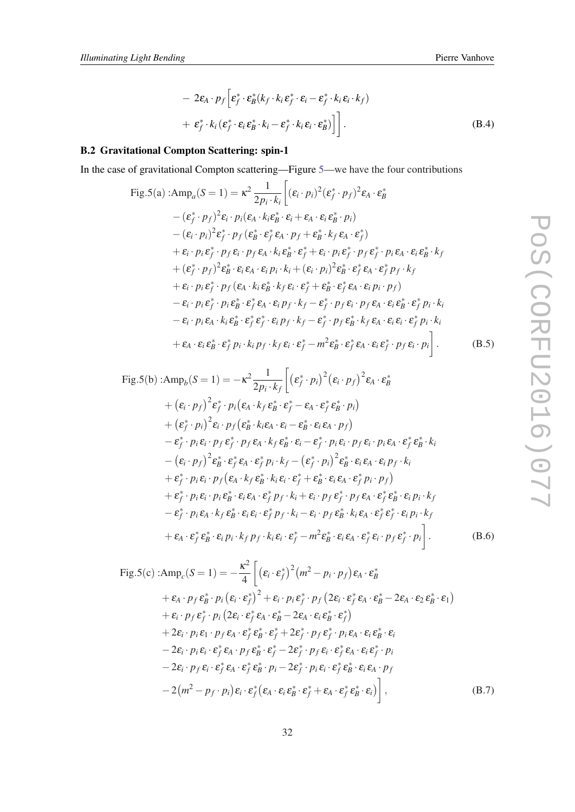$$
- 2\varepsilon_A \cdot p_f \left[ \varepsilon_f^* \cdot \varepsilon_B^* (k_f \cdot k_i \varepsilon_f^* \cdot \varepsilon_i - \varepsilon_f^* \cdot k_i \varepsilon_i \cdot k_f) + \varepsilon_f^* \cdot k_i (\varepsilon_f^* \cdot \varepsilon_i \varepsilon_B^* \cdot k_i - \varepsilon_f^* \cdot k_i \varepsilon_i \cdot \varepsilon_B^* ) \right] \Bigg].
$$
\n(B.4)

# B.2 Gravitational Compton Scattering: spin-1

In the case of gravitational Compton scattering—Figure [5—](#page-15-0)we have the four contributions

$$
\begin{split}\n\text{Fig.5(a)}: \text{Amp}_{a}(S=1) &= \kappa^{2} \frac{1}{2p_{i} \cdot k_{i}} \bigg[ (\varepsilon_{i} \cdot p_{i})^{2} (\varepsilon_{f}^{*} \cdot p_{f})^{2} \varepsilon_{A} \cdot \varepsilon_{B}^{*} \\
&- (\varepsilon_{f}^{*} \cdot p_{f})^{2} \varepsilon_{i} \cdot p_{i} (\varepsilon_{A} \cdot k_{i} \varepsilon_{B}^{*} \cdot \varepsilon_{i} + \varepsilon_{A} \cdot \varepsilon_{i} \varepsilon_{B}^{*} \cdot p_{i}) \\
&- (\varepsilon_{i} \cdot p_{i})^{2} \varepsilon_{f}^{*} \cdot p_{f} (\varepsilon_{B}^{*} \cdot \varepsilon_{f}^{*} \varepsilon_{A} \cdot p_{f} + \varepsilon_{B}^{*} \cdot k_{f} \varepsilon_{A} \cdot \varepsilon_{f}^{*}) \\
&+ \varepsilon_{i} \cdot p_{i} \varepsilon_{f}^{*} \cdot p_{f} \varepsilon_{i} \cdot p_{f} \varepsilon_{A} \cdot k_{i} \varepsilon_{B}^{*} \varepsilon_{f}^{*} + \varepsilon_{i} \cdot p_{i} \varepsilon_{f}^{*} \cdot p_{f} \varepsilon_{f}^{*} \cdot p_{i} \varepsilon_{A} \cdot \varepsilon_{i} \varepsilon_{B}^{*} \cdot k_{f} \\
&+ (\varepsilon_{f}^{*} \cdot p_{f})^{2} \varepsilon_{B}^{*} \cdot \varepsilon_{i} \varepsilon_{A} \cdot \varepsilon_{i} p_{i} \cdot k_{i} + (\varepsilon_{i} \cdot p_{i})^{2} \varepsilon_{B}^{*} \cdot \varepsilon_{f}^{*} \varepsilon_{A} \cdot \varepsilon_{f}^{*} p_{f} \cdot k_{f} \\
&+ \varepsilon_{i} \cdot p_{i} \varepsilon_{f}^{*} \cdot p_{f} (\varepsilon_{A} \cdot k_{i} \varepsilon_{B}^{*} \cdot k_{f} \varepsilon_{i} \cdot \varepsilon_{f}^{*} + \varepsilon_{B}^{*} \cdot \varepsilon_{f}^{*} \varepsilon_{A} \cdot \varepsilon_{i} p_{i} \cdot p_{f}) \\
&- \varepsilon_{i} \cdot p_{i} \varepsilon
$$

$$
\begin{split}\n\text{Fig.5(b)}: \text{Amp}_{b}(S=1) &= -\kappa^{2} \frac{1}{2p_{i} \cdot k_{f}} \left[ \left( \varepsilon_{f}^{*} \cdot p_{i} \right)^{2} \left( \varepsilon_{i} \cdot p_{f} \right)^{2} \varepsilon_{A} \cdot \varepsilon_{B}^{*} \\
&+ \left( \varepsilon_{i} \cdot p_{f} \right)^{2} \varepsilon_{f}^{*} \cdot p_{i} \left( \varepsilon_{A} \cdot k_{f} \varepsilon_{B}^{*} \cdot \varepsilon_{f}^{*} - \varepsilon_{A} \cdot \varepsilon_{f}^{*} \varepsilon_{B}^{*} \cdot p_{i} \right) \\
&+ \left( \varepsilon_{f}^{*} \cdot p_{i} \right)^{2} \varepsilon_{i} \cdot p_{f} \left( \varepsilon_{B}^{*} \cdot k_{i} \varepsilon_{A} \cdot \varepsilon_{i} - \varepsilon_{B}^{*} \cdot \varepsilon_{i} \varepsilon_{A} \cdot p_{f} \right) \\
&- \varepsilon_{f}^{*} \cdot p_{i} \varepsilon_{i} \cdot p_{f} \varepsilon_{f}^{*} \cdot p_{f} \varepsilon_{A} \cdot k_{f} \varepsilon_{B}^{*} \cdot \varepsilon_{i} - \varepsilon_{f}^{*} \cdot p_{i} \varepsilon_{i} \cdot p_{f} \varepsilon_{i} \cdot p_{i} \varepsilon_{A} \cdot \varepsilon_{f}^{*} \varepsilon_{B}^{*} \cdot k_{i} \\
&- \left( \varepsilon_{i} \cdot p_{f} \right)^{2} \varepsilon_{B}^{*} \cdot \varepsilon_{f}^{*} \varepsilon_{A} \cdot \varepsilon_{f}^{*} p_{i} \cdot k_{f} - \left( \varepsilon_{f}^{*} \cdot p_{i} \right)^{2} \varepsilon_{B}^{*} \cdot \varepsilon_{i} \varepsilon_{A} \cdot \varepsilon_{i} p_{f} \cdot k_{i} \\
&+ \varepsilon_{f}^{*} \cdot p_{i} \varepsilon_{i} \cdot p_{f} \left( \varepsilon_{A} \cdot k_{f} \varepsilon_{B}^{*} \cdot k_{i} \varepsilon_{i} \cdot \varepsilon_{f}^{*} + \varepsilon_{B}^{*} \cdot \vare
$$

Fig.5(c):
$$
\text{Amp}_{c}(S=1) = -\frac{\kappa^{2}}{4} \left[ (\varepsilon_{i} \cdot \varepsilon_{f}^{*})^{2} (m^{2} - p_{i} \cdot p_{f}) \varepsilon_{A} \cdot \varepsilon_{B}^{*} + \varepsilon_{A} \cdot p_{f} \varepsilon_{B}^{*} \cdot p_{i} (\varepsilon_{i} \cdot \varepsilon_{f}^{*})^{2} + \varepsilon_{i} \cdot p_{i} \varepsilon_{f}^{*} \cdot p_{f} (2\varepsilon_{i} \cdot \varepsilon_{f}^{*} \varepsilon_{A} \cdot \varepsilon_{B}^{*} - 2\varepsilon_{A} \cdot \varepsilon_{2} \varepsilon_{B}^{*} \cdot \varepsilon_{1}) + \varepsilon_{i} \cdot p_{f} \varepsilon_{f}^{*} \cdot p_{i} (2\varepsilon_{i} \cdot \varepsilon_{f}^{*} \varepsilon_{A} \cdot \varepsilon_{B}^{*} - 2\varepsilon_{A} \cdot \varepsilon_{i} \varepsilon_{B}^{*} \cdot \varepsilon_{f}^{*}) + 2\varepsilon_{i} \cdot p_{i} \varepsilon_{1} \cdot p_{f} \varepsilon_{A} \cdot \varepsilon_{f}^{*} \varepsilon_{B}^{*} \cdot \varepsilon_{f}^{*} + 2\varepsilon_{f}^{*} \cdot p_{f} \varepsilon_{f}^{*} \cdot p_{f} \varepsilon_{A} \cdot \varepsilon_{i} \varepsilon_{B}^{*} \cdot \varepsilon_{i} - 2\varepsilon_{i} \cdot p_{i} \varepsilon_{i} \cdot \varepsilon_{f}^{*} \varepsilon_{A} \cdot p_{f} \varepsilon_{B}^{*} \cdot \varepsilon_{f}^{*} - 2\varepsilon_{f}^{*} \cdot p_{f} \varepsilon_{i} \cdot \varepsilon_{f}^{*} \varepsilon_{A} \cdot \varepsilon_{i} \varepsilon_{f}^{*} \cdot p_{i} - 2\varepsilon_{i} \cdot p_{f} \varepsilon_{i} \cdot \varepsilon_{f}^{*} \varepsilon_{B}^{*} \cdot p_{i} - 2\varepsilon_{i} \cdot p_{f} \varepsilon_{i} \cdot \varepsilon_{f}^{*} \varepsilon_{A} \cdot \varepsilon_{f}^{*} \varepsilon_{B}^{*} \cdot p_{i} - 2(\varepsilon_{
$$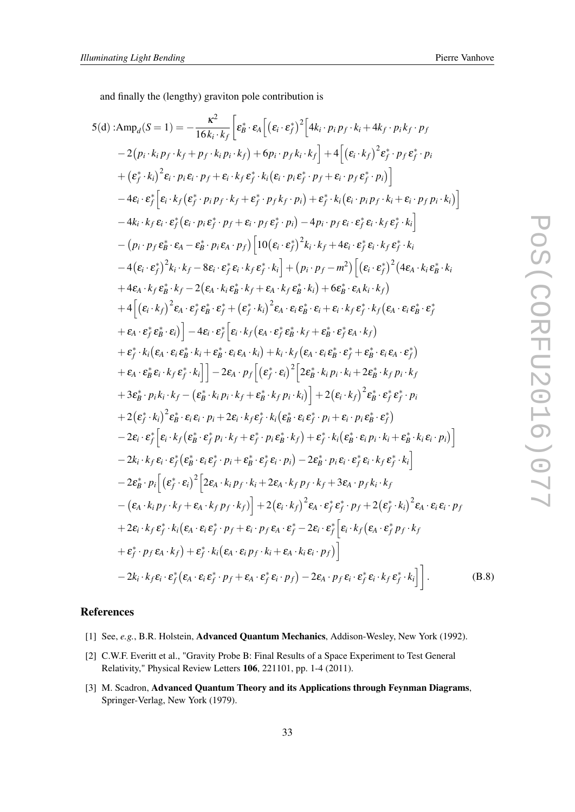<span id="page-32-0"></span>and finally the (lengthy) graviton pole contribution is

5(d):
$$
Amp_d(S=1) = -\frac{\kappa^2}{16k_i \cdot k_f} \left[ \varepsilon_B^* \cdot \varepsilon_A \left[ (\varepsilon_i \cdot \varepsilon_f^*)^2 \left[ 4k_i \cdot p_i p_f \cdot k_i + 4k_f \cdot p_i k_f \cdot p_f \right. \\ - 2(p_i \cdot k_i p_f \cdot k_f + p_f \cdot k_i p_i \cdot k_f) + 6p_i \cdot p_f k_i \cdot k_f \right] + 4 \left[ (\varepsilon_i \cdot k_f)^2 \varepsilon_f^* \cdot p_f \varepsilon_f^* \cdot p_f \right. \\ + (\varepsilon_f^* \cdot k_i)^2 \varepsilon_f \cdot p_i \varepsilon_i \cdot p_f + \varepsilon_i \cdot k_f \varepsilon_f^* \cdot k_i (\varepsilon_i \cdot p_i \varepsilon_f^* \cdot p_f + \varepsilon_i \cdot p_f \varepsilon_f^* \cdot p_i) \right] \\ - 4\varepsilon_i \cdot \varepsilon_f^* \left[ \varepsilon_i \cdot k_f (\varepsilon_f^* \cdot p_i p_f \cdot k_f + \varepsilon_f^* \cdot p_f k_f \cdot p_i) + \varepsilon_f^* \cdot k_i (\varepsilon_i \cdot p_i p_f \cdot k_i + \varepsilon_i \cdot p_f p_i \cdot k_i) \right] \\ - (p_i \cdot p_f \varepsilon_B^* \cdot \varepsilon_A - \varepsilon_B^* \cdot p_i \varepsilon_A \cdot p_f) \left[ 10(\varepsilon_i \cdot \varepsilon_f^*)^2 k_i \cdot k_f + 4\varepsilon_i \cdot \varepsilon_f^* \varepsilon_i \cdot k_f \varepsilon_f^* \cdot k_i \right. \\ - (\varepsilon_i \cdot \varepsilon_f^*)^2 k_i \cdot k_f - 8\varepsilon_i \cdot \varepsilon_f^* \varepsilon_i \cdot k_f \varepsilon_f^* \cdot k_i \right] + (p_i \cdot p_f - m^2) \left[ (\varepsilon_i \cdot \varepsilon_f^*)^2 (4\varepsilon_A \cdot k_i \varepsilon_B^* \cdot k_i + \varepsilon_A \cdot k_f \varepsilon_B^* \cdot k_f \cdot k_i \right. \\ + 4\varepsilon_i \cdot k_f \varepsilon_B^* \cdot k_f - 2(\varepsilon_A \cdot k_i \varepsilon_B^* \cdot k_f + \varepsilon_A \cdot k_f \varepsilon_B^* \cdot k_i) + 6\varepsilon_B^* \cdot \varepsilon_A k_i \cdot k_f \right) \\ + 4\left[ (\v
$$

# References

- [1] See, *e.g.*, B.R. Holstein, Advanced Quantum Mechanics, Addison-Wesley, New York (1992).
- [2] C.W.F. Everitt et al., "Gravity Probe B: Final Results of a Space Experiment to Test General Relativity," Physical Review Letters 106, 221101, pp. 1-4 (2011).
- [3] M. Scadron, Advanced Quantum Theory and its Applications through Feynman Diagrams, Springer-Verlag, New York (1979).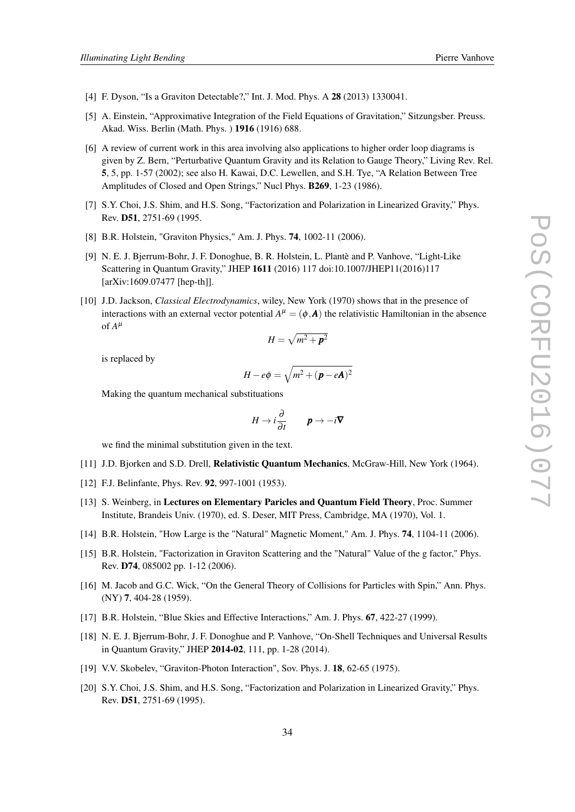- <span id="page-33-0"></span>[4] F. Dyson, "Is a Graviton Detectable?," Int. J. Mod. Phys. A 28 (2013) 1330041.
- [5] A. Einstein, "Approximative Integration of the Field Equations of Gravitation," Sitzungsber. Preuss. Akad. Wiss. Berlin (Math. Phys. ) 1916 (1916) 688.
- [6] A review of current work in this area involving also applications to higher order loop diagrams is given by Z. Bern, "Perturbative Quantum Gravity and its Relation to Gauge Theory," Living Rev. Rel. 5, 5, pp. 1-57 (2002); see also H. Kawai, D.C. Lewellen, and S.H. Tye, "A Relation Between Tree Amplitudes of Closed and Open Strings," Nucl Phys. B269, 1-23 (1986).
- [7] S.Y. Choi, J.S. Shim, and H.S. Song, "Factorization and Polarization in Linearized Gravity," Phys. Rev. D51, 2751-69 (1995.
- [8] B.R. Holstein, "Graviton Physics," Am. J. Phys. **74**, 1002-11 (2006).
- [9] N. E. J. Bjerrum-Bohr, J. F. Donoghue, B. R. Holstein, L. Plantè and P. Vanhove, "Light-Like Scattering in Quantum Gravity," JHEP 1611 (2016) 117 doi:10.1007/JHEP11(2016)117 [arXiv:1609.07477 [hep-th]].
- [10] J.D. Jackson, *Classical Electrodynamics*, wiley, New York (1970) shows that in the presence of interactions with an external vector potential  $A^{\mu} = (\phi, \mathbf{A})$  the relativistic Hamiltonian in the absence of  $A^{\mu}$

$$
H=\sqrt{m^2+\bm{p}^2}
$$

is replaced by

$$
H - e\phi = \sqrt{m^2 + (\mathbf{p} - e\mathbf{A})^2}
$$

Making the quantum mechanical substituations

$$
H \to i\frac{\partial}{\partial t} \qquad \mathbf{p} \to -i\mathbf{\nabla}
$$

we find the minimal substitution given in the text.

- [11] J.D. Bjorken and S.D. Drell, Relativistic Quantum Mechanics, McGraw-Hill, New York (1964).
- [12] F.J. Belinfante, Phys. Rev. 92, 997-1001 (1953).
- [13] S. Weinberg, in Lectures on Elementary Paricles and Quantum Field Theory, Proc. Summer Institute, Brandeis Univ. (1970), ed. S. Deser, MIT Press, Cambridge, MA (1970), Vol. 1.
- [14] B.R. Holstein, "How Large is the "Natural" Magnetic Moment," Am. J. Phys. 74, 1104-11 (2006).
- [15] B.R. Holstein, "Factorization in Graviton Scattering and the "Natural" Value of the g factor," Phys. Rev. D74, 085002 pp. 1-12 (2006).
- [16] M. Jacob and G.C. Wick, "On the General Theory of Collisions for Particles with Spin," Ann. Phys. (NY) 7, 404-28 (1959).
- [17] B.R. Holstein, "Blue Skies and Effective Interactions," Am. J. Phys. 67, 422-27 (1999).
- [18] N. E. J. Bjerrum-Bohr, J. F. Donoghue and P. Vanhove, "On-Shell Techniques and Universal Results in Quantum Gravity," JHEP 2014-02, 111, pp. 1-28 (2014).
- [19] V.V. Skobelev, "Graviton-Photon Interaction", Sov. Phys. J. **18**, 62-65 (1975).
- [20] S.Y. Choi, J.S. Shim, and H.S. Song, "Factorization and Polarization in Linearized Gravity," Phys. Rev. D51, 2751-69 (1995).